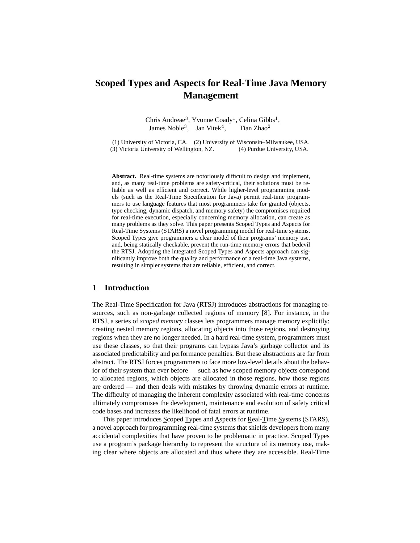# **Scoped Types and Aspects for Real-Time Java Memory Management**

Chris Andreae<sup>3</sup>, Yvonne Coady<sup>1</sup>, Celina Gibbs<sup>1</sup>, James Noble<sup>3</sup>, Jan Vitek<sup>4</sup> Tian Zhao<sup>2</sup>

(1) University of Victoria, CA. (2) University of Wisconsin–Milwaukee, USA. (3) Victoria University of Wellington, NZ. (4) Purdue University, USA.

**Abstract.** Real-time systems are notoriously difficult to design and implement, and, as many real-time problems are safety-critical, their solutions must be reliable as well as efficient and correct. While higher-level programming models (such as the Real-Time Specification for Java) permit real-time programmers to use language features that most programmers take for granted (objects, type checking, dynamic dispatch, and memory safety) the compromises required for real-time execution, especially concerning memory allocation, can create as many problems as they solve. This paper presents Scoped Types and Aspects for Real-Time Systems (STARS) a novel programming model for real-time systems. Scoped Types give programmers a clear model of their programs' memory use, and, being statically checkable, prevent the run-time memory errors that bedevil the RTSJ. Adopting the integrated Scoped Types and Aspects approach can significantly improve both the quality and performance of a real-time Java systems, resulting in simpler systems that are reliable, efficient, and correct.

## **1 Introduction**

The Real-Time Specification for Java (RTSJ) introduces abstractions for managing resources, such as non-garbage collected regions of memory [8]. For instance, in the RTSJ, a series of *scoped memory* classes lets programmers manage memory explicitly: creating nested memory regions, allocating objects into those regions, and destroying regions when they are no longer needed. In a hard real-time system, programmers must use these classes, so that their programs can bypass Java's garbage collector and its associated predictability and performance penalties. But these abstractions are far from abstract. The RTSJ forces programmers to face more low-level details about the behavior of their system than ever before — such as how scoped memory objects correspond to allocated regions, which objects are allocated in those regions, how those regions are ordered — and then deals with mistakes by throwing dynamic errors at runtime. The difficulty of managing the inherent complexity associated with real-time concerns ultimately compromises the development, maintenance and evolution of safety critical code bases and increases the likelihood of fatal errors at runtime.

This paper introduces Scoped Types and Aspects for Real-Time Systems (STARS), a novel approach for programming real-time systems that shields developers from many accidental complexities that have proven to be problematic in practice. Scoped Types use a program's package hierarchy to represent the structure of its memory use, making clear where objects are allocated and thus where they are accessible. Real-Time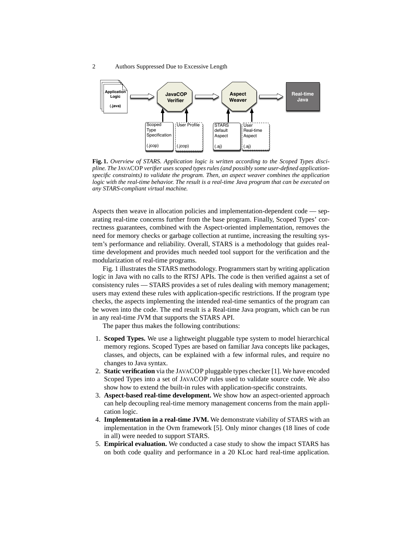

**Fig. 1.** *Overview of STARS. Application logic is written according to the Scoped Types discipline. The* JAVACOP *verifier uses scoped types rules (and possibly some user-defined applicationspecific constraints) to validate the program. Then, an aspect weaver combines the application logic with the real-time behavior. The result is a real-time Java program that can be executed on any STARS-compliant virtual machine.*

Aspects then weave in allocation policies and implementation-dependent code — separating real-time concerns further from the base program. Finally, Scoped Types' correctness guarantees, combined with the Aspect-oriented implementation, removes the need for memory checks or garbage collection at runtime, increasing the resulting system's performance and reliability. Overall, STARS is a methodology that guides realtime development and provides much needed tool support for the verification and the modularization of real-time programs.

Fig. 1 illustrates the STARS methodology. Programmers start by writing application logic in Java with no calls to the RTSJ APIs. The code is then verified against a set of consistency rules — STARS provides a set of rules dealing with memory management; users may extend these rules with application-specific restrictions. If the program type checks, the aspects implementing the intended real-time semantics of the program can be woven into the code. The end result is a Real-time Java program, which can be run in any real-time JVM that supports the STARS API.

The paper thus makes the following contributions:

- 1. **Scoped Types.** We use a lightweight pluggable type system to model hierarchical memory regions. Scoped Types are based on familiar Java concepts like packages, classes, and objects, can be explained with a few informal rules, and require no changes to Java syntax.
- 2. **Static verification** via the JAVACOP pluggable types checker [1]. We have encoded Scoped Types into a set of JAVACOP rules used to validate source code. We also show how to extend the built-in rules with application-specific constraints.
- 3. **Aspect-based real-time development.** We show how an aspect-oriented approach can help decoupling real-time memory management concerns from the main application logic.
- 4. **Implementation in a real-time JVM.** We demonstrate viability of STARS with an implementation in the Ovm framework [5]. Only minor changes (18 lines of code in all) were needed to support STARS.
- 5. **Empirical evaluation.** We conducted a case study to show the impact STARS has on both code quality and performance in a 20 KLoc hard real-time application.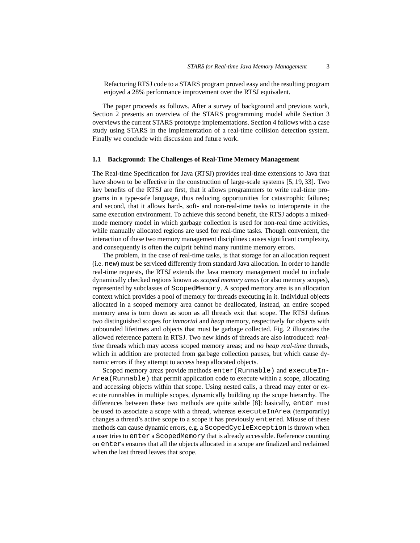Refactoring RTSJ code to a STARS program proved easy and the resulting program enjoyed a 28% performance improvement over the RTSJ equivalent.

The paper proceeds as follows. After a survey of background and previous work, Section 2 presents an overview of the STARS programming model while Section 3 overviews the current STARS prototype implementations. Section 4 follows with a case study using STARS in the implementation of a real-time collision detection system. Finally we conclude with discussion and future work.

### **1.1 Background: The Challenges of Real-Time Memory Management**

The Real-time Specification for Java (RTSJ) provides real-time extensions to Java that have shown to be effective in the construction of large-scale systems [5, 19, 33]. Two key benefits of the RTSJ are first, that it allows programmers to write real-time programs in a type-safe language, thus reducing opportunities for catastrophic failures; and second, that it allows hard-, soft- and non-real-time tasks to interoperate in the same execution environment. To achieve this second benefit, the RTSJ adopts a mixedmode memory model in which garbage collection is used for non-real time activities, while manually allocated regions are used for real-time tasks. Though convenient, the interaction of these two memory management disciplines causes significant complexity, and consequently is often the culprit behind many runtime memory errors.

The problem, in the case of real-time tasks, is that storage for an allocation request (i.e. new) must be serviced differently from standard Java allocation. In order to handle real-time requests, the RTSJ extends the Java memory management model to include dynamically checked regions known as *scoped memory areas* (or also memory scopes), represented by subclasses of ScopedMemory. A scoped memory area is an allocation context which provides a pool of memory for threads executing in it. Individual objects allocated in a scoped memory area cannot be deallocated, instead, an entire scoped memory area is torn down as soon as all threads exit that scope. The RTSJ defines two distinguished scopes for *immortal* and *heap* memory, respectively for objects with unbounded lifetimes and objects that must be garbage collected. Fig. 2 illustrates the allowed reference pattern in RTSJ. Two new kinds of threads are also introduced: *realtime* threads which may access scoped memory areas; and *no heap real-time* threads, which in addition are protected from garbage collection pauses, but which cause dynamic errors if they attempt to access heap allocated objects.

Scoped memory areas provide methods enter(Runnable) and executeIn-Area(Runnable) that permit application code to execute within a scope, allocating and accessing objects within that scope. Using nested calls, a thread may enter or execute runnables in multiple scopes, dynamically building up the scope hierarchy. The differences between these two methods are quite subtle [8]: basically, enter must be used to associate a scope with a thread, whereas executeInArea (temporarily) changes a thread's active scope to a scope it has previously entered. Misuse of these methods can cause dynamic errors, e.g. a ScopedCycleException is thrown when a user tries to enter a ScopedMemory that is already accessible. Reference counting on enters ensures that all the objects allocated in a scope are finalized and reclaimed when the last thread leaves that scope.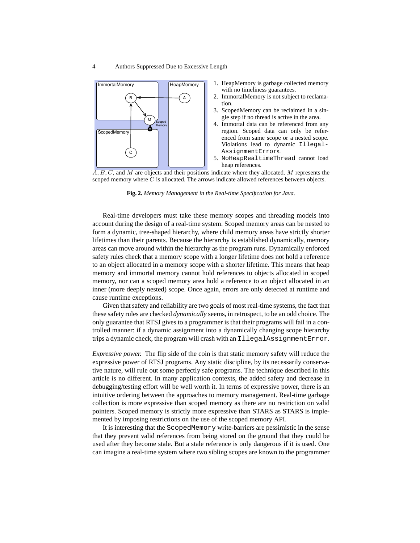

 $\overline{A}$ ,  $\overline{B}$ ,  $\overline{C}$ , and  $\overline{M}$  are objects and their positions indicate where they allocated. M represents the scoped memory where C is allocated. The arrows indicate allowed references between objects.

**Fig. 2.** *Memory Management in the Real-time Specification for Java.*

Real-time developers must take these memory scopes and threading models into account during the design of a real-time system. Scoped memory areas can be nested to form a dynamic, tree-shaped hierarchy, where child memory areas have strictly shorter lifetimes than their parents. Because the hierarchy is established dynamically, memory areas can move around within the hierarchy as the program runs. Dynamically enforced safety rules check that a memory scope with a longer lifetime does not hold a reference to an object allocated in a memory scope with a shorter lifetime. This means that heap memory and immortal memory cannot hold references to objects allocated in scoped memory, nor can a scoped memory area hold a reference to an object allocated in an inner (more deeply nested) scope. Once again, errors are only detected at runtime and cause runtime exceptions.

Given that safety and reliability are two goals of most real-time systems, the fact that these safety rules are checked *dynamically* seems, in retrospect, to be an odd choice. The only guarantee that RTSJ gives to a programmer is that their programs will fail in a controlled manner: if a dynamic assignment into a dynamically changing scope hierarchy trips a dynamic check, the program will crash with an IllegalAssignmentError.

*Expressive power.* The flip side of the coin is that static memory safety will reduce the expressive power of RTSJ programs. Any static discipline, by its necessarily conservative nature, will rule out some perfectly safe programs. The technique described in this article is no different. In many application contexts, the added safety and decrease in debugging/testing effort will be well worth it. In terms of expressive power, there is an intuitive ordering between the approaches to memory management. Real-time garbage collection is more expressive than scoped memory as there are no restriction on valid pointers. Scoped memory is strictly more expressive than STARS as STARS is implemented by imposing restrictions on the use of the scoped memory API.

It is interesting that the ScopedMemory write-barriers are pessimistic in the sense that they prevent valid references from being stored on the ground that they could be used after they become stale. But a stale reference is only dangerous if it is used. One can imagine a real-time system where two sibling scopes are known to the programmer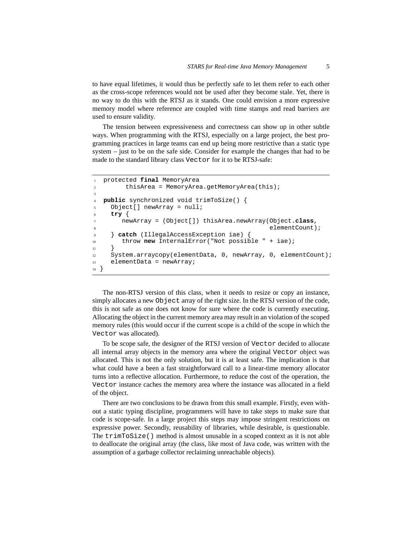to have equal lifetimes, it would thus be perfectly safe to let them refer to each other as the cross-scope references would not be used after they become stale. Yet, there is no way to do this with the RTSJ as it stands. One could envision a more expressive memory model where reference are coupled with time stamps and read barriers are used to ensure validity.

The tension between expressiveness and correctness can show up in other subtle ways. When programming with the RTSJ, especially on a large project, the best programming practices in large teams can end up being more restrictive than a static type system – just to be on the safe side. Consider for example the changes that had to be made to the standard library class Vector for it to be RTSJ-safe:

```
1 protected final MemoryArea
2 thisArea = MemoryArea.getMemoryArea(this);
3
  4 public synchronized void trimToSize() {
    Object[] newArray = null;
     6 try {
        7 newArray = (Object[]) thisArea.newArray(Object.class,
                                                elementCount);
     9 } catch (IllegalAccessException iae) {
10 throw new InternalError("Not possible " + iae);
11 }
12 System.arraycopy(elementData, 0, newArray, 0, elementCount);
13 elementData = newArray;
14 }
```
The non-RTSJ version of this class, when it needs to resize or copy an instance, simply allocates a new Object array of the right size. In the RTSJ version of the code, this is not safe as one does not know for sure where the code is currently executing. Allocating the object in the current memory area may result in an violation of the scoped memory rules (this would occur if the current scope is a child of the scope in which the Vector was allocated).

To be scope safe, the designer of the RTSJ version of Vector decided to allocate all internal array objects in the memory area where the original Vector object was allocated. This is not the only solution, but it is at least safe. The implication is that what could have a been a fast straightforward call to a linear-time memory allocator turns into a reflective allocation. Furthermore, to reduce the cost of the operation, the Vector instance caches the memory area where the instance was allocated in a field of the object.

There are two conclusions to be drawn from this small example. Firstly, even without a static typing discipline, programmers will have to take steps to make sure that code is scope-safe. In a large project this steps may impose stringent restrictions on expressive power. Secondly, reusability of libraries, while desirable, is questionable. The trimToSize() method is almost unusable in a scoped context as it is not able to deallocate the original array (the class, like most of Java code, was written with the assumption of a garbage collector reclaiming unreachable objects).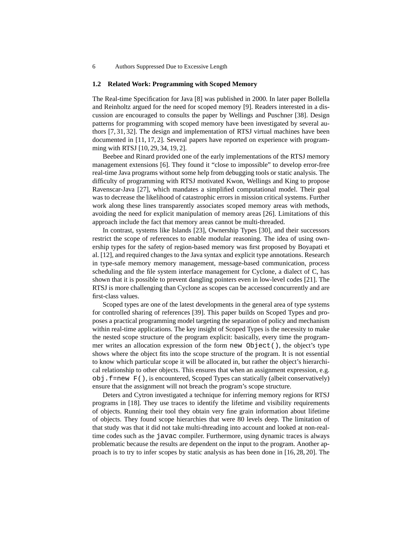### **1.2 Related Work: Programming with Scoped Memory**

The Real-time Specification for Java [8] was published in 2000. In later paper Bollella and Reinholtz argued for the need for scoped memory [9]. Readers interested in a discussion are encouraged to consults the paper by Wellings and Puschner [38]. Design patterns for programming with scoped memory have been investigated by several authors [7, 31, 32]. The design and implementation of RTSJ virtual machines have been documented in [11, 17, 2]. Several papers have reported on experience with programming with RTSJ [10, 29, 34, 19, 2].

Beebee and Rinard provided one of the early implementations of the RTSJ memory management extensions [6]. They found it "close to impossible" to develop error-free real-time Java programs without some help from debugging tools or static analysis. The difficulty of programming with RTSJ motivated Kwon, Wellings and King to propose Ravenscar-Java [27], which mandates a simplified computational model. Their goal was to decrease the likelihood of catastrophic errors in mission critical systems. Further work along these lines transparently associates scoped memory areas with methods, avoiding the need for explicit manipulation of memory areas [26]. Limitations of this approach include the fact that memory areas cannot be multi-threaded.

In contrast, systems like Islands [23], Ownership Types [30], and their successors restrict the scope of references to enable modular reasoning. The idea of using ownership types for the safety of region-based memory was first proposed by Boyapati et al. [12], and required changes to the Java syntax and explicit type annotations. Research in type-safe memory memory management, message-based communication, process scheduling and the file system interface management for Cyclone, a dialect of C, has shown that it is possible to prevent dangling pointers even in low-level codes [21]. The RTSJ is more challenging than Cyclone as scopes can be accessed concurrently and are first-class values.

Scoped types are one of the latest developments in the general area of type systems for controlled sharing of references [39]. This paper builds on Scoped Types and proposes a practical programming model targeting the separation of policy and mechanism within real-time applications. The key insight of Scoped Types is the necessity to make the nested scope structure of the program explicit: basically, every time the programmer writes an allocation expression of the form new  $Object()$ , the object's type shows where the object fits into the scope structure of the program. It is not essential to know which particular scope it will be allocated in, but rather the object's hierarchical relationship to other objects. This ensures that when an assignment expression, e.g.  $obj.$   $f = new \ F()$ , is encountered, Scoped Types can statically (albeit conservatively) ensure that the assignment will not breach the program's scope structure.

Deters and Cytron investigated a technique for inferring memory regions for RTSJ programs in [18]. They use traces to identify the lifetime and visibility requirements of objects. Running their tool they obtain very fine grain information about lifetime of objects. They found scope hierarchies that were 80 levels deep. The limitation of that study was that it did not take multi-threading into account and looked at non-realtime codes such as the javac compiler. Furthermore, using dynamic traces is always problematic because the results are dependent on the input to the program. Another approach is to try to infer scopes by static analysis as has been done in [16, 28, 20]. The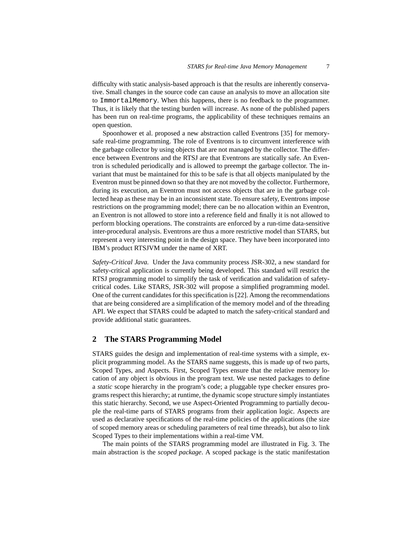difficulty with static analysis-based approach is that the results are inherently conservative. Small changes in the source code can cause an analysis to move an allocation site to ImmortalMemory. When this happens, there is no feedback to the programmer. Thus, it is likely that the testing burden will increase. As none of the published papers has been run on real-time programs, the applicability of these techniques remains an open question.

Spoonhower et al. proposed a new abstraction called Eventrons [35] for memorysafe real-time programming. The role of Eventrons is to circumvent interference with the garbage collector by using objects that are not managed by the collector. The difference between Eventrons and the RTSJ are that Eventrons are statically safe. An Eventron is scheduled periodically and is allowed to preempt the garbage collector. The invariant that must be maintained for this to be safe is that all objects manipulated by the Eventron must be pinned down so that they are not moved by the collector. Furthermore, during its execution, an Eventron must not access objects that are in the garbage collected heap as these may be in an inconsistent state. To ensure safety, Eventrons impose restrictions on the programming model; there can be no allocation within an Eventron, an Eventron is not allowed to store into a reference field and finally it is not allowed to perform blocking operations. The constraints are enforced by a run-time data-sensitive inter-procedural analysis. Eventrons are thus a more restrictive model than STARS, but represent a very interesting point in the design space. They have been incorporated into IBM's product RTSJVM under the name of XRT.

*Safety-Critical Java.* Under the Java community process JSR-302, a new standard for safety-critical application is currently being developed. This standard will restrict the RTSJ programming model to simplify the task of verification and validation of safetycritical codes. Like STARS, JSR-302 will propose a simplified programming model. One of the current candidates for this specification is [22]. Among the recommendations that are being considered are a simplification of the memory model and of the threading API. We expect that STARS could be adapted to match the safety-critical standard and provide additional static guarantees.

## **2 The STARS Programming Model**

STARS guides the design and implementation of real-time systems with a simple, explicit programming model. As the STARS name suggests, this is made up of two parts, Scoped Types, and Aspects. First, Scoped Types ensure that the relative memory location of any object is obvious in the program text. We use nested packages to define a *static* scope hierarchy in the program's code; a pluggable type checker ensures programs respect this hierarchy; at runtime, the dynamic scope structure simply instantiates this static hierarchy. Second, we use Aspect-Oriented Programming to partially decouple the real-time parts of STARS programs from their application logic. Aspects are used as declarative specifications of the real-time policies of the applications (the size of scoped memory areas or scheduling parameters of real time threads), but also to link Scoped Types to their implementations within a real-time VM.

The main points of the STARS programming model are illustrated in Fig. 3. The main abstraction is the *scoped package*. A scoped package is the static manifestation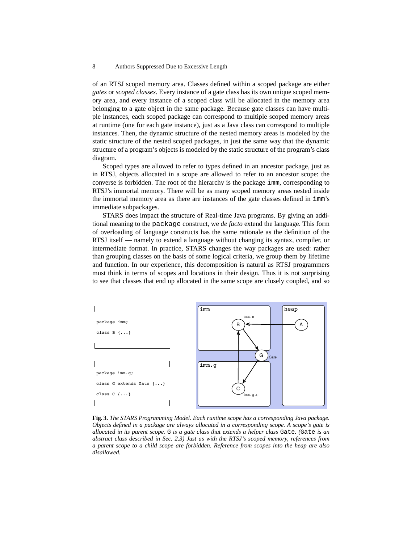of an RTSJ scoped memory area. Classes defined within a scoped package are either *gates* or *scoped classes*. Every instance of a gate class has its own unique scoped memory area, and every instance of a scoped class will be allocated in the memory area belonging to a gate object in the same package. Because gate classes can have multiple instances, each scoped package can correspond to multiple scoped memory areas at runtime (one for each gate instance), just as a Java class can correspond to multiple instances. Then, the dynamic structure of the nested memory areas is modeled by the static structure of the nested scoped packages, in just the same way that the dynamic structure of a program's objects is modeled by the static structure of the program's class diagram.

Scoped types are allowed to refer to types defined in an ancestor package, just as in RTSJ, objects allocated in a scope are allowed to refer to an ancestor scope: the converse is forbidden. The root of the hierarchy is the package imm, corresponding to RTSJ's immortal memory. There will be as many scoped memory areas nested inside the immortal memory area as there are instances of the gate classes defined in imm's immediate subpackages.

STARS does impact the structure of Real-time Java programs. By giving an additional meaning to the package construct, we *de facto* extend the language. This form of overloading of language constructs has the same rationale as the definition of the RTSJ itself — namely to extend a language without changing its syntax, compiler, or intermediate format. In practice, STARS changes the way packages are used: rather than grouping classes on the basis of some logical criteria, we group them by lifetime and function. In our experience, this decomposition is natural as RTSJ programmers must think in terms of scopes and locations in their design. Thus it is not surprising to see that classes that end up allocated in the same scope are closely coupled, and so



**Fig. 3.** *The STARS Programming Model. Each runtime scope has a corresponding Java package. Objects defined in a package are always allocated in a corresponding scope. A scope's gate is allocated in its parent scope.* G *is a gate class that extends a helper class* Gate*. (*Gate *is an abstract class described in Sec. 2.3) Just as with the RTSJ's scoped memory, references from a parent scope to a child scope are forbidden. Reference from scopes into the heap are also disallowed.*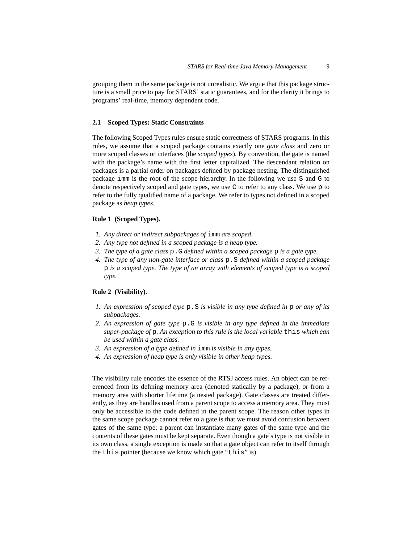grouping them in the same package is not unrealistic. We argue that this package structure is a small price to pay for STARS' static guarantees, and for the clarity it brings to programs' real-time, memory dependent code.

### **2.1 Scoped Types: Static Constraints**

The following Scoped Types rules ensure static correctness of STARS programs. In this rules, we assume that a scoped package contains exactly one *gate class* and zero or more scoped classes or interfaces (the *scoped types*). By convention, the gate is named with the package's name with the first letter capitalized. The descendant relation on packages is a partial order on packages defined by package nesting. The distinguished package imm is the root of the scope hierarchy. In the following we use S and G to denote respectively scoped and gate types, we use C to refer to any class. We use p to refer to the fully qualified name of a package. We refer to types not defined in a scoped package as *heap types*.

## **Rule 1 (Scoped Types).**

- *1. Any direct or indirect subpackages of* imm *are scoped.*
- *2. Any type not defined in a scoped package is a heap type.*
- *3. The type of a gate class* p.G *defined within a scoped package* p *is a gate type.*
- *4. The type of any non-gate interface or class* p.S *defined within a scoped package* p *is a scoped type. The type of an array with elements of scoped type is a scoped type.*

## **Rule 2 (Visibility).**

- *1. An expression of scoped type* p.S *is visible in any type defined in* p *or any of its subpackages.*
- *2. An expression of gate type* p.G *is visible in any type defined in the immediate super-package of* p*. An exception to this rule is the local variable* this *which can be used within a gate class.*
- *3. An expression of a type defined in* imm *is visible in any types.*
- *4. An expression of heap type is only visible in other heap types.*

The visibility rule encodes the essence of the RTSJ access rules. An object can be referenced from its defining memory area (denoted statically by a package), or from a memory area with shorter lifetime (a nested package). Gate classes are treated differently, as they are handles used from a parent scope to access a memory area. They must only be accessible to the code defined in the parent scope. The reason other types in the same scope package cannot refer to a gate is that we must avoid confusion between gates of the same type; a parent can instantiate many gates of the same type and the contents of these gates must be kept separate. Even though a gate's type is not visible in its own class, a single exception is made so that a gate object can refer to itself through the this pointer (because we know which gate "this" is).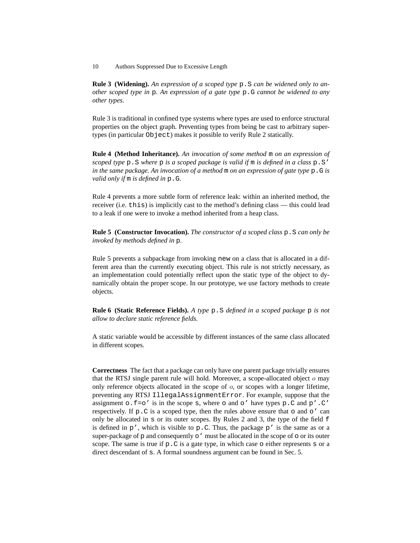**Rule 3 (Widening).** *An expression of a scoped type* p.S *can be widened only to another scoped type in* p*. An expression of a gate type* p.G *cannot be widened to any other types.*

Rule 3 is traditional in confined type systems where types are used to enforce structural properties on the object graph. Preventing types from being be cast to arbitrary supertypes (in particular Object) makes it possible to verify Rule 2 statically.

**Rule 4 (Method Inheritance).** *An invocation of some method* m *on an expression of scoped type* p.S *where* p *is a scoped package is valid if* m *is defined in a class* p.S' *in the same package. An invocation of a method* m *on an expression of gate type* p.G *is valid only if* m *is defined in* p.G*.*

Rule 4 prevents a more subtle form of reference leak: within an inherited method, the receiver (i.e. this) is implicitly cast to the method's defining class — this could lead to a leak if one were to invoke a method inherited from a heap class.

**Rule 5 (Constructor Invocation).** *The constructor of a scoped class* p.S *can only be invoked by methods defined in* p*.*

Rule 5 prevents a subpackage from invoking new on a class that is allocated in a different area than the currently executing object. This rule is not strictly necessary, as an implementation could potentially reflect upon the static type of the object to dynamically obtain the proper scope. In our prototype, we use factory methods to create objects.

**Rule 6 (Static Reference Fields).** *A type* p.S *defined in a scoped package* p *is not allow to declare static reference fields.*

A static variable would be accessible by different instances of the same class allocated in different scopes.

**Correctness** The fact that a package can only have one parent package trivially ensures that the RTSJ single parent rule will hold. Moreover, a scope-allocated object  $\sigma$  may only reference objects allocated in the scope of o, or scopes with a longer lifetime, preventing any RTSJ IllegalAssignmentError. For example, suppose that the assignment  $\circ$ .  $f = \circ'$  is in the scope s, where  $\circ$  and  $\circ'$  have types  $p \cdot C$  and  $p' \cdot C'$ respectively. If  $p \cdot C$  is a scoped type, then the rules above ensure that  $o$  and  $o'$  can only be allocated in s or its outer scopes. By Rules 2 and 3, the type of the field  $f$ is defined in p', which is visible to p.C. Thus, the package p' is the same as or a super-package of  $p$  and consequently  $q'$  must be allocated in the scope of  $q$  or its outer scope. The same is true if p. C is a gate type, in which case o either represents s or a direct descendant of s. A formal soundness argument can be found in Sec. 5.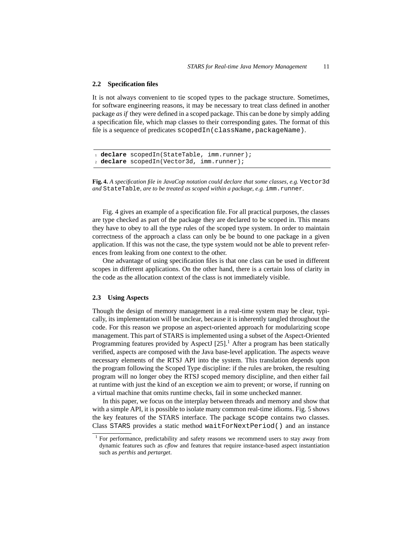### **2.2 Specification files**

It is not always convenient to tie scoped types to the package structure. Sometimes, for software engineering reasons, it may be necessary to treat class defined in another package *as if* they were defined in a scoped package. This can be done by simply adding a specification file, which map classes to their corresponding gates. The format of this file is a sequence of predicates scopedIn(className, packageName).

```
1 declare scopedIn(StateTable, imm.runner);
2 declare scopedIn(Vector3d, imm.runner);
```
**Fig. 4.** *A specification file in JavaCop notation could declare that some classes, e.g.* Vector3d *and* StateTable*, are to be treated as scoped within a package, e.g.* imm.runner*.*

Fig. 4 gives an example of a specification file. For all practical purposes, the classes are type checked as part of the package they are declared to be scoped in. This means they have to obey to all the type rules of the scoped type system. In order to maintain correctness of the approach a class can only be be bound to one package in a given application. If this was not the case, the type system would not be able to prevent references from leaking from one context to the other.

One advantage of using specification files is that one class can be used in different scopes in different applications. On the other hand, there is a certain loss of clarity in the code as the allocation context of the class is not immediately visible.

## **2.3 Using Aspects**

Though the design of memory management in a real-time system may be clear, typically, its implementation will be unclear, because it is inherently tangled throughout the code. For this reason we propose an aspect-oriented approach for modularizing scope management. This part of STARS is implemented using a subset of the Aspect-Oriented Programming features provided by AspectJ  $[25]$ .<sup>1</sup> After a program has been statically verified, aspects are composed with the Java base-level application. The aspects weave necessary elements of the RTSJ API into the system. This translation depends upon the program following the Scoped Type discipline: if the rules are broken, the resulting program will no longer obey the RTSJ scoped memory discipline, and then either fail at runtime with just the kind of an exception we aim to prevent; or worse, if running on a virtual machine that omits runtime checks, fail in some unchecked manner.

In this paper, we focus on the interplay between threads and memory and show that with a simple API, it is possible to isolate many common real-time idioms. Fig. 5 shows the key features of the STARS interface. The package scope contains two classes. Class STARS provides a static method waitForNextPeriod() and an instance

 $1$  For performance, predictability and safety reasons we recommend users to stay away from dynamic features such as *cflow* and features that require instance-based aspect instantiation such as *perthis* and *pertarget*.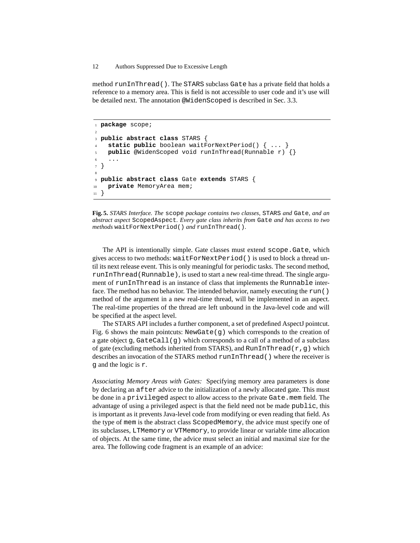method runInThread(). The STARS subclass Gate has a private field that holds a reference to a memory area. This is field is not accessible to user code and it's use will be detailed next. The annotation @WidenScoped is described in Sec. 3.3.

```
1 package scope;
2
3 public abstract class STARS {
    4 static public boolean waitForNextPeriod() { ... }
    5 public @WidenScoped void runInThread(Runnable r) {}
6 ...
7 }
8
9 public abstract class Gate extends STARS {
10 private MemoryArea mem;
11\,
```
**Fig. 5.** *STARS Interface. The* scope *package contains two classes,* STARS *and* Gate*, and an abstract aspect* ScopedAspect*. Every gate class inherits from* Gate *and has access to two methods* waitForNextPeriod() *and* runInThread()*.*

The API is intentionally simple. Gate classes must extend scope.Gate, which gives access to two methods: waitForNextPeriod() is used to block a thread until its next release event. This is only meaningful for periodic tasks. The second method, runInThread(Runnable), is used to start a new real-time thread. The single argument of runInThread is an instance of class that implements the Runnable interface. The method has no behavior. The intended behavior, namely executing the run() method of the argument in a new real-time thread, will be implemented in an aspect. The real-time properties of the thread are left unbound in the Java-level code and will be specified at the aspect level.

The STARS API includes a further component, a set of predefined AspectJ pointcut. Fig. 6 shows the main pointcuts: NewGate(g) which corresponds to the creation of a gate object q, GateCall(q) which corresponds to a call of a method of a subclass of gate (excluding methods inherited from STARS), and RunInThread(r, q) which describes an invocation of the STARS method runInThread() where the receiver is g and the logic is r.

*Associating Memory Areas with Gates:* Specifying memory area parameters is done by declaring an after advice to the initialization of a newly allocated gate. This must be done in a privileged aspect to allow access to the private Gate. mem field. The advantage of using a privileged aspect is that the field need not be made public, this is important as it prevents Java-level code from modifying or even reading that field. As the type of mem is the abstract class ScopedMemory, the advice must specify one of its subclasses, LTMemory or VTMemory, to provide linear or variable time allocation of objects. At the same time, the advice must select an initial and maximal size for the area. The following code fragment is an example of an advice: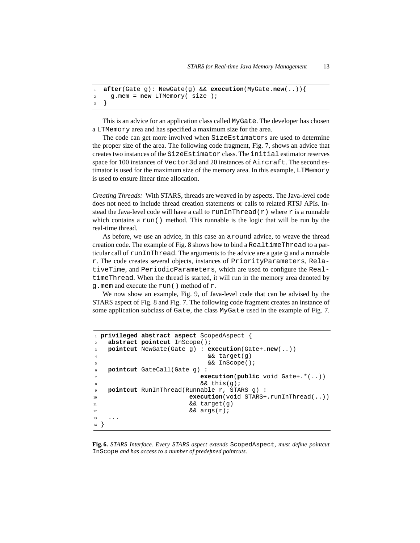```
1 after(Gate g): NewGate(g) && execution(MyGate.new(..)){
2 g.mem = new LTMemory( size );
3 }
```
This is an advice for an application class called MyGate. The developer has chosen a LTMemory area and has specified a maximum size for the area.

The code can get more involved when SizeEstimators are used to determine the proper size of the area. The following code fragment, Fig. 7, shows an advice that creates two instances of the SizeEstimator class. The initial estimator reserves space for 100 instances of Vector3d and 20 instances of Aircraft. The second estimator is used for the maximum size of the memory area. In this example, LTMemory is used to ensure linear time allocation.

*Creating Threads:* With STARS, threads are weaved in by aspects. The Java-level code does not need to include thread creation statements or calls to related RTSJ APIs. Instead the Java-level code will have a call to runInThread(r) where r is a runnable which contains a run() method. This runnable is the logic that will be run by the real-time thread.

As before, we use an advice, in this case an around advice, to weave the thread creation code. The example of Fig. 8 shows how to bind a RealtimeThread to a particular call of runInThread. The arguments to the advice are a gate g and a runnable r. The code creates several objects, instances of PriorityParameters, RelativeTime, and PeriodicParameters, which are used to configure the RealtimeThread. When the thread is started, it will run in the memory area denoted by g.mem and execute the run() method of r.

We now show an example, Fig. 9, of Java-level code that can be advised by the STARS aspect of Fig. 8 and Fig. 7. The following code fragment creates an instance of some application subclass of Gate, the class MyGate used in the example of Fig. 7.

```
1 privileged abstract aspect ScopedAspect {
   abstract pointcut InScope();
   3 pointcut NewGate(Gate g) : execution(Gate+.new(..))
                            &\& target(q)
                            5 && InScope();
   6 pointcut GateCall(Gate g) :
                          7 execution(public void Gate+.*(..))
                          &\& this(g);
9 pointcut RunInThread(Runnable r, STARS g) :
10 execution(void STARS+.runInThread(..))
11 && target(g)
12 && args(r);
13 \cdot \cdot \cdot14
```
**Fig. 6.** *STARS Interface. Every STARS aspect extends* ScopedAspect*, must define pointcut* InScope *and has access to a number of predefined pointcuts.*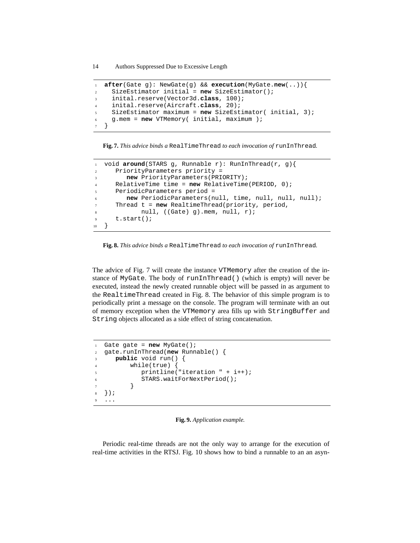```
1 after(Gate g): NewGate(g) && execution(MyGate.new(..)){
2 SizeEstimator initial = new SizeEstimator();
3 inital.reserve(Vector3d.class, 100);
    4 inital.reserve(Aircraft.class, 20);
    5 SizeEstimator maximum = new SizeEstimator( initial, 3);
    6 g.mem = new VTMemory( initial, maximum );
7 }
```
**Fig. 7.** *This advice binds a* RealTimeThread *to each invocation of* runInThread*.*

```
void around(STARS g, Runnable r): RunInThread(r, g){
2 PriorityParameters priority =
3 new PriorityParameters(PRIORITY);
4 RelativeTime time = new RelativeTime(PERIOD, 0);
5 PeriodicParameters period =
        new PeriodicParameters(null, time, null, null, null);
7 Thread t = new RealtimeThread(priority, period,
            null, ((Gate) g).mem, null, r);
     t.start();
10 }
```
**Fig. 8.** *This advice binds a* RealTimeThread *to each invocation of* runInThread*.*

The advice of Fig. 7 will create the instance VTMemory after the creation of the instance of MyGate. The body of runInThread() (which is empty) will never be executed, instead the newly created runnable object will be passed in as argument to the RealtimeThread created in Fig. 8. The behavior of this simple program is to periodically print a message on the console. The program will terminate with an out of memory exception when the VTMemory area fills up with StringBuffer and String objects allocated as a side effect of string concatenation.

```
Gate gate = new MyGate();
2 gate.runInThread(new Runnable() {
3 public void run() {
         while(true) {
            printline("iteration " + i++);
         STARS.waitForNextPeriod();<br>}
7 }
8 });
  9 ...
```
**Fig. 9.** *Application example.*

Periodic real-time threads are not the only way to arrange for the execution of real-time activities in the RTSJ. Fig. 10 shows how to bind a runnable to an an asyn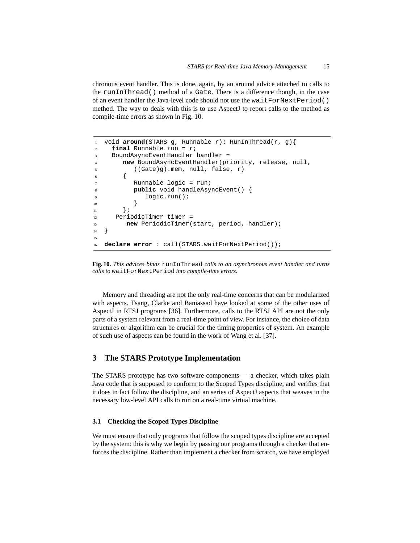chronous event handler. This is done, again, by an around advice attached to calls to the runInThread() method of a Gate. There is a difference though, in the case of an event handler the Java-level code should not use the waitForNextPeriod() method. The way to deals with this is to use AspectJ to report calls to the method as compile-time errors as shown in Fig. 10.

```
void around(STARS g, Runnable r): RunInThread(r, g){
2 final Runnable run = r;
3 BoundAsyncEventHandler handler =
4 new BoundAsyncEventHandler(priority, release, null,
          ((Gate)g) . \text{mem, null, false, r)6 {
          Runnable logic = run;
          8 public void handleAsyncEvent() {
9 logic.run();
10 }
\{11\} } ;
12 PeriodicTimer timer =
13 new PeriodicTimer(start, period, handler);
14 }
15
16 declare error : call(STARS.waitForNextPeriod());
```
**Fig. 10.** *This advices binds* runInThread *calls to an asynchronous event handler and turns calls to* waitForNextPeriod *into compile-time errors.*

Memory and threading are not the only real-time concerns that can be modularized with aspects. Tsang, Clarke and Baniassad have looked at some of the other uses of AspectJ in RTSJ programs [36]. Furthermore, calls to the RTSJ API are not the only parts of a system relevant from a real-time point of view. For instance, the choice of data structures or algorithm can be crucial for the timing properties of system. An example of such use of aspects can be found in the work of Wang et al. [37].

## **3 The STARS Prototype Implementation**

The STARS prototype has two software components — a checker, which takes plain Java code that is supposed to conform to the Scoped Types discipline, and verifies that it does in fact follow the discipline, and an series of AspectJ aspects that weaves in the necessary low-level API calls to run on a real-time virtual machine.

## **3.1 Checking the Scoped Types Discipline**

We must ensure that only programs that follow the scoped types discipline are accepted by the system: this is why we begin by passing our programs through a checker that enforces the discipline. Rather than implement a checker from scratch, we have employed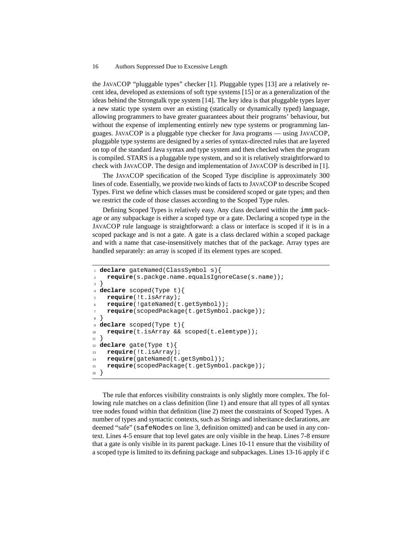the JAVACOP "pluggable types" checker [1]. Pluggable types [13] are a relatively recent idea, developed as extensions of soft type systems [15] or as a generalization of the ideas behind the Strongtalk type system [14]. The key idea is that pluggable types layer a new static type system over an existing (statically or dynamically typed) language, allowing programmers to have greater guarantees about their programs' behaviour, but without the expense of implementing entirely new type systems or programming languages. JAVACOP is a pluggable type checker for Java programs — using JAVACOP, pluggable type systems are designed by a series of syntax-directed rules that are layered on top of the standard Java syntax and type system and then checked when the program is compiled. STARS is a pluggable type system, and so it is relatively straightforward to check with JAVACOP. The design and implementation of JAVACOP is described in [1].

The JAVACOP specification of the Scoped Type discipline is approximately 300 lines of code. Essentially, we provide two kinds of facts to JAVACOP to describe Scoped Types. First we define which classes must be considered scoped or gate types; and then we restrict the code of those classes according to the Scoped Type rules.

Defining Scoped Types is relatively easy. Any class declared within the imm package or any subpackage is either a scoped type or a gate. Declaring a scoped type in the JAVACOP rule language is straightforward: a class or interface is scoped if it is in a scoped package and is not a gate. A gate is a class declared within a scoped package and with a name that case-insensitively matches that of the package. Array types are handled separately: an array is scoped if its element types are scoped.

```
1 declare gateNamed(ClassSymbol s){
2 require(s.packge.name.equalsIgnoreCase(s.name));
3 }
4 declare scoped(Type t){
    5 require(!t.isArray);
    6 require(!gateNamed(t.getSymbol));
    7 require(scopedPackage(t.getSymbol.packge));
\,9 declare scoped(Type t){
10 require(t.isArray && scoped(t.elemtype));
1112 declare gate(Type t){
13 require(!t.isArray);
14 require(gateNamed(t.getSymbol));
15 require(scopedPackage(t.getSymbol.packge));
16 }
```
The rule that enforces visibility constraints is only slightly more complex. The following rule matches on a class definition (line 1) and ensure that all types of all syntax tree nodes found within that definition (line 2) meet the constraints of Scoped Types. A number of types and syntactic contexts, such as Strings and inheritance declarations, are deemed "safe" (safeNodes on line 3, definition omitted) and can be used in any context. Lines 4-5 ensure that top level gates are only visible in the heap. Lines 7-8 ensure that a gate is only visible in its parent package. Lines 10-11 ensure that the visibility of a scoped type is limited to its defining package and subpackages. Lines 13-16 apply if c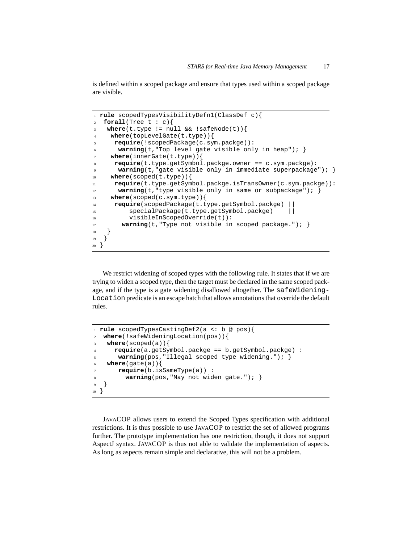is defined within a scoped package and ensure that types used within a scoped package are visible.

```
1 rule scopedTypesVisibilityDefn1(ClassDef c){
2 forall(Tree t : c){
   where(t-type != null & % Isafenode(t))where(topLevelGate(t.type)){
     5 require(!scopedPackage(c.sym.packge)):

    where(innerGate(t.type)){
     8 require(t.type.getSymbol.packge.owner == c.sym.packge):
      warning(t, "gate visible only in immediate superpackage"); }
10 where(scoped(t.type)){
11 require(t.type.getSymbol.packge.isTransOwner(c.sym.packge)):
12 warning(t, "type visible only in same or subpackage"); }
13 where(scoped(c.sym.type)){
14 require(scopedPackage(t.type.getSymbol.packge)
15 specialPackage(t.type.getSymbol.packge) ||
16 visibleInScopedOverride(t)):
17 warning(t, "Type not visible in scoped package."); }
18 }
19 }
20 }
```
We restrict widening of scoped types with the following rule. It states that if we are trying to widen a scoped type, then the target must be declared in the same scoped package, and if the type is a gate widening disallowed altogether. The safeWidening-Location predicate is an escape hatch that allows annotations that override the default rules.

```
1 rule scopedTypesCastingDef2(a <: b @ pos){
2 where(!safeWideningLocation(pos)){
  where(scoped(a))4 require(a.getSymbol.packge == b.getSymbol.packge) :

6 where(qate(a)) {
     7 require(b.isSameType(a)) :
      ; \}9 }
10 }
```
JAVACOP allows users to extend the Scoped Types specification with additional restrictions. It is thus possible to use JAVACOP to restrict the set of allowed programs further. The prototype implementation has one restriction, though, it does not support AspectJ syntax. JAVACOP is thus not able to validate the implementation of aspects. As long as aspects remain simple and declarative, this will not be a problem.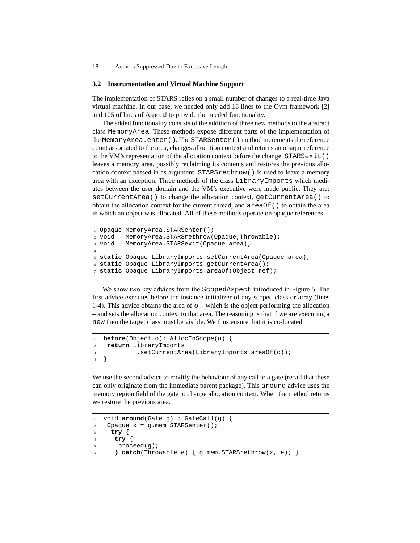#### **3.2 Instrumentation and Virtual Machine Support**

The implementation of STARS relies on a small number of changes to a real-time Java virtual machine. In our case, we needed only add 18 lines to the Ovm framework [2] and 105 of lines of AspectJ to provide the needed functionality.

The added functionality consists of the addition of three new methods to the abstract class MemoryArea. These methods expose different parts of the implementation of the MemoryArea.enter(). The STARSenter() method increments the reference count associated to the area, changes allocation context and returns an opaque reference to the VM's representation of the allocation context before the change. STARSexit() leaves a memory area, possibly reclaiming its contents and restores the previous allocation context passed in as argument. STARSrethrow() is used to leave a memory area with an exception. Three methods of the class LibraryImports which mediates between the user domain and the VM's executive were made public. They are: setCurrentArea() to change the allocation context, getCurrentArea() to obtain the allocation context for the current thread, and  $areaOf()$  to obtain the area in which an object was allocated. All of these methods operate on opaque references.

```
1 Opaque MemoryArea.STARSenter();
2 void MemoryArea.STARSrethrow(Opaque,Throwable);
3 void MemoryArea.STARSexit(Opaque area);
4
5 static Opaque LibraryImports.setCurrentArea(Opaque area);
6 static Opaque LibraryImports.getCurrentArea();
7 static Opaque LibraryImports.areaOf(Object ref);
```
We show two key advices from the ScopedAspect introduced in Figure 5. The first advice executes before the instance initializer of any scoped class or array (lines 1-4). This advice obtains the area of  $\circ$  – which is the object performing the allocation – and sets the allocation context to that area. The reasoning is that if we are executing a new then the target class must be visible. We thus ensure that it is co-located.

```
1 before(Object o): AllocInScope(o) {
   2 return LibraryImports
            3 .setCurrentArea(LibraryImports.areaOf(o));
4 }
```
We use the second advice to modify the behaviour of any call to a gate (recall that these can only originate from the immediate parent package). This around advice uses the memory region field of the gate to change allocation context. When the method returns we restore the previous area.

```
1 void around(Gate g) : GateCall(g) {
2 Opaque x = q.mem. STARSenter();
    3 try {
     4 try {
      proceed(g);
6 } catch(Throwable e) { g.mem.STARSrethrow(x, e); }
```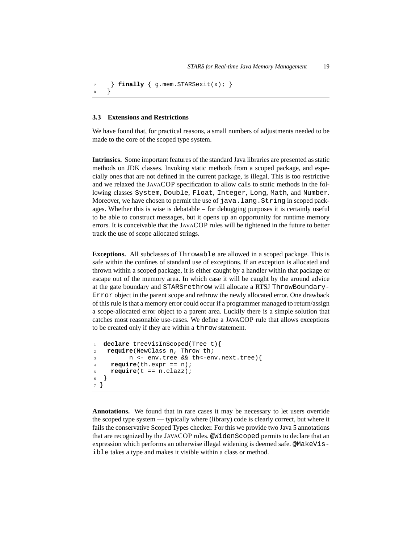```
\{ \text{finally} \{ \text{g.mem. STARSexit(x)}; \}8 }
```
### **3.3 Extensions and Restrictions**

We have found that, for practical reasons, a small numbers of adjustments needed to be made to the core of the scoped type system.

**Intrinsics.** Some important features of the standard Java libraries are presented as static methods on JDK classes. Invoking static methods from a scoped package, and especially ones that are not defined in the current package, is illegal. This is too restrictive and we relaxed the JAVACOP specification to allow calls to static methods in the following classes System, Double, Float, Integer, Long, Math, and Number. Moreover, we have chosen to permit the use of java.lang.String in scoped packages. Whether this is wise is debatable – for debugging purposes it is certainly useful to be able to construct messages, but it opens up an opportunity for runtime memory errors. It is conceivable that the JAVACOP rules will be tightened in the future to better track the use of scope allocated strings.

**Exceptions.** All subclasses of Throwable are allowed in a scoped package. This is safe within the confines of standard use of exceptions. If an exception is allocated and thrown within a scoped package, it is either caught by a handler within that package or escape out of the memory area. In which case it will be caught by the around advice at the gate boundary and STARSrethrow will allocate a RTSJ ThrowBoundary-Error object in the parent scope and rethrow the newly allocated error. One drawback of this rule is that a memory error could occur if a programmer managed to return/assign a scope-allocated error object to a parent area. Luckily there is a simple solution that catches most reasonable use-cases. We define a JAVACOP rule that allows exceptions to be created only if they are within a throw statement.

```
1 declare treeVisInScoped(Tree t){
2 require(NewClass n, Throw th;
         n <- env.tree && th<-env.next.tree) {
    4 require(th.expr == n);
5 require(t == n.clazz);
6 }
7 }
```
**Annotations.** We found that in rare cases it may be necessary to let users override the scoped type system — typically where (library) code is clearly correct, but where it fails the conservative Scoped Types checker. For this we provide two Java 5 annotations that are recognized by the JAVACOP rules. @WidenScoped permits to declare that an expression which performs an otherwise illegal widening is deemed safe. @MakeVisible takes a type and makes it visible within a class or method.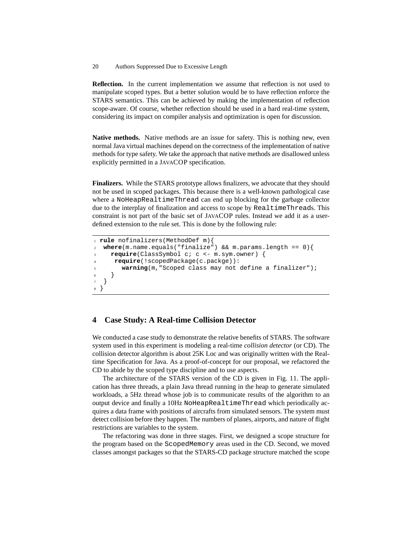**Reflection.** In the current implementation we assume that reflection is not used to manipulate scoped types. But a better solution would be to have reflection enforce the STARS semantics. This can be achieved by making the implementation of reflection scope-aware. Of course, whether reflection should be used in a hard real-time system, considering its impact on compiler analysis and optimization is open for discussion.

**Native methods.** Native methods are an issue for safety. This is nothing new, even normal Java virtual machines depend on the correctness of the implementation of native methods for type safety. We take the approach that native methods are disallowed unless explicitly permitted in a JAVACOP specification.

**Finalizers.** While the STARS prototype allows finalizers, we advocate that they should not be used in scoped packages. This because there is a well-known pathological case where a NoHeapRealtimeThread can end up blocking for the garbage collector due to the interplay of finalization and access to scope by RealtimeThreads. This constraint is not part of the basic set of JAVACOP rules. Instead we add it as a userdefined extension to the rule set. This is done by the following rule:

```
1 rule nofinalizers(MethodDef m){
2 where(m.name.equals("finalize") && m.params.length == 0){
    3 require(ClassSymbol c; c <- m.sym.owner) {
     4 require(!scopedPackage(c.packge)):
5 warning(m,"Scoped class may not define a finalizer");
6 }
  7 }
8 }
```
## **4 Case Study: A Real-time Collision Detector**

We conducted a case study to demonstrate the relative benefits of STARS. The software system used in this experiment is modeling a real-time *collision detector* (or CD). The collision detector algorithm is about 25K Loc and was originally written with the Realtime Specification for Java. As a proof-of-concept for our proposal, we refactored the CD to abide by the scoped type discipline and to use aspects.

The architecture of the STARS version of the CD is given in Fig. 11. The application has three threads, a plain Java thread running in the heap to generate simulated workloads, a 5Hz thread whose job is to communicate results of the algorithm to an output device and finally a 10Hz NoHeapRealtimeThread which periodically acquires a data frame with positions of aircrafts from simulated sensors. The system must detect collision before they happen. The numbers of planes, airports, and nature of flight restrictions are variables to the system.

The refactoring was done in three stages. First, we designed a scope structure for the program based on the ScopedMemory areas used in the CD. Second, we moved classes amongst packages so that the STARS-CD package structure matched the scope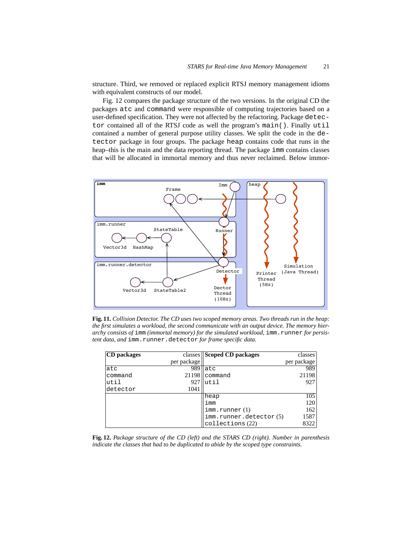structure. Third, we removed or replaced explicit RTSJ memory management idioms with equivalent constructs of our model.

Fig. 12 compares the package structure of the two versions. In the original CD the packages atc and command were responsible of computing trajectories based on a user-defined specification. They were not affected by the refactoring. Package detector contained all of the RTSJ code as well the program's main(). Finally util contained a number of general purpose utility classes. We split the code in the detector package in four groups. The package heap contains code that runs in the heap–this is the main and the data reporting thread. The package imm contains classes that will be allocated in immortal memory and thus never reclaimed. Below immor-



**Fig. 11.** *Collision Detector. The CD uses two scoped memory areas. Two threads run in the heap: the first simulates a workload, the second communicate with an output device. The memory hierarchy consists of* imm *(immortal memory) for the simulated workload,* imm.runner *for persistent data, and* imm.runner.detector *for frame specific data.*

| <b>CD</b> packages |             | classes Scoped CD packages | classes     |
|--------------------|-------------|----------------------------|-------------|
|                    | per package |                            | per package |
| atc                | 989         | llatc                      | 989         |
| command            | 21198       | command                    | 21198       |
| util               | 927         | util                       | 927         |
| detector           | 1041        |                            |             |
|                    |             | heap                       | 105         |
|                    |             | imm                        | 120         |
|                    |             | imm.runner(1)              | 162         |
|                    |             | imm.runner.detector(5)     | 1587        |
|                    |             | collections (22)           | 8322        |

**Fig. 12.** *Package structure of the CD (left) and the STARS CD (right). Number in parenthesis indicate the classes that had to be duplicated to abide by the scoped type constraints.*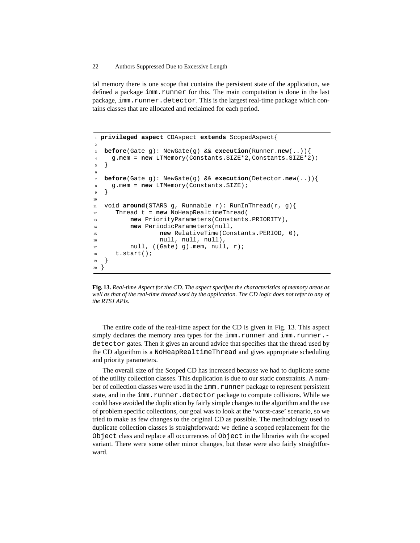tal memory there is one scope that contains the persistent state of the application, we defined a package imm.runner for this. The main computation is done in the last package, imm.runner.detector. This is the largest real-time package which contains classes that are allocated and reclaimed for each period.

```
1 privileged aspect CDAspect extends ScopedAspect{
2
  3 before(Gate g): NewGate(g) && execution(Runner.new(..)){
4 g.mem = new LTMemory(Constants.SIZE*2,Constants.SIZE*2);
5 }
6
  7 before(Gate g): NewGate(g) && execution(Detector.new(..)){
8 g.mem = new LTMemory(Constants.SIZE);
9 }
10
11 void around(STARS g, Runnable r): RunInThread(r, g){
12 Thread t = new NoHeapRealtimeThread(
13 new PriorityParameters(Constants.PRIORITY),
14 new PeriodicParameters(null,
15 new RelativeTime(Constants.PERIOD, 0),
16 10 null, null, null),
17 mull, ((Gate) g).mem, null, r);
18 t.start();
19 }
20 }
```
**Fig. 13.** *Real-time Aspect for the CD. The aspect specifies the characteristics of memory areas as well as that of the real-time thread used by the application. The CD logic does not refer to any of the RTSJ APIs.*

The entire code of the real-time aspect for the CD is given in Fig. 13. This aspect simply declares the memory area types for the imm.runner and imm.runner.detector gates. Then it gives an around advice that specifies that the thread used by the CD algorithm is a NoHeapRealtimeThread and gives appropriate scheduling and priority parameters.

The overall size of the Scoped CD has increased because we had to duplicate some of the utility collection classes. This duplication is due to our static constraints. A number of collection classes were used in the imm.runner package to represent persistent state, and in the imm.runner.detector package to compute collisions. While we could have avoided the duplication by fairly simple changes to the algorithm and the use of problem specific collections, our goal was to look at the 'worst-case' scenario, so we tried to make as few changes to the original CD as possible. The methodology used to duplicate collection classes is straightforward: we define a scoped replacement for the Object class and replace all occurrences of Object in the libraries with the scoped variant. There were some other minor changes, but these were also fairly straightforward.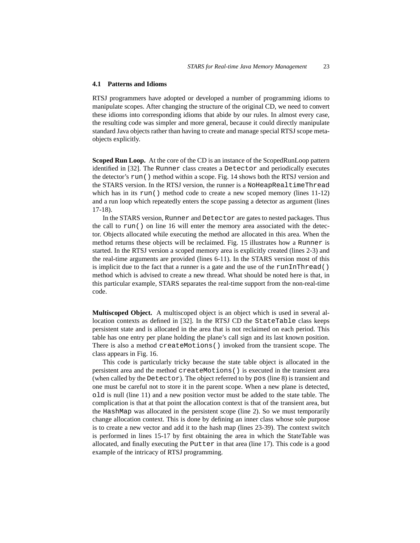#### **4.1 Patterns and Idioms**

RTSJ programmers have adopted or developed a number of programming idioms to manipulate scopes. After changing the structure of the original CD, we need to convert these idioms into corresponding idioms that abide by our rules. In almost every case, the resulting code was simpler and more general, because it could directly manipulate standard Java objects rather than having to create and manage special RTSJ scope metaobjects explicitly.

**Scoped Run Loop.** At the core of the CD is an instance of the ScopedRunLoop pattern identified in [32]. The Runner class creates a Detector and periodically executes the detector's run() method within a scope. Fig. 14 shows both the RTSJ version and the STARS version. In the RTSJ version, the runner is a NoHeapRealtimeThread which has in its run() method code to create a new scoped memory (lines  $11-12$ ) and a run loop which repeatedly enters the scope passing a detector as argument (lines 17-18).

In the STARS version, Runner and Detector are gates to nested packages. Thus the call to run() on line 16 will enter the memory area associated with the detector. Objects allocated while executing the method are allocated in this area. When the method returns these objects will be reclaimed. Fig. 15 illustrates how a Runner is started. In the RTSJ version a scoped memory area is explicitly created (lines 2-3) and the real-time arguments are provided (lines 6-11). In the STARS version most of this is implicit due to the fact that a runner is a gate and the use of the runInThread() method which is advised to create a new thread. What should be noted here is that, in this particular example, STARS separates the real-time support from the non-real-time code.

**Multiscoped Object.** A multiscoped object is an object which is used in several allocation contexts as defined in [32]. In the RTSJ CD the StateTable class keeps persistent state and is allocated in the area that is not reclaimed on each period. This table has one entry per plane holding the plane's call sign and its last known position. There is also a method createMotions() invoked from the transient scope. The class appears in Fig. 16.

This code is particularly tricky because the state table object is allocated in the persistent area and the method createMotions() is executed in the transient area (when called by the Detector). The object referred to by pos (line 8) is transient and one must be careful not to store it in the parent scope. When a new plane is detected, old is null (line 11) and a new position vector must be added to the state table. The complication is that at that point the allocation context is that of the transient area, but the HashMap was allocated in the persistent scope (line 2). So we must temporarily change allocation context. This is done by defining an inner class whose sole purpose is to create a new vector and add it to the hash map (lines 23-39). The context switch is performed in lines 15-17 by first obtaining the area in which the StateTable was allocated, and finally executing the Putter in that area (line 17). This code is a good example of the intricacy of RTSJ programming.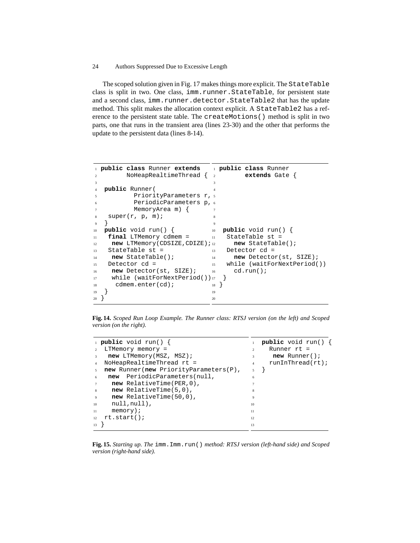The scoped solution given in Fig. 17 makes things more explicit. The StateTable class is split in two. One class, imm.runner.StateTable, for persistent state and a second class, imm.runner.detector.StateTable2 that has the update method. This split makes the allocation context explicit. A StateTable2 has a reference to the persistent state table. The createMotions() method is split in two parts, one that runs in the transient area (lines 23-30) and the other that performs the update to the persistent data (lines 8-14).

```
1 public class Runner extends
2 NoHeapRealtimeThread { 2
3
4 public Runner(
5 PriorityParameters r,
5
6 PeriodicParameters p,
6
7 MemoryArea m) {
s super(r, p, m);
9 }
10 public void run() {
11 final LTMemory cdmem =
12 new LTMemory(CDSIZE, CDIZE); 12
13 StateTable st =
14 new StateTable();
15 Detector cd =
16 new Detector(st, SIZE);
17 while (waitForNextPeriod()) 17 }
18 cdmem.enter(cd);
19 }
20 }
                                 1 public class Runner
                                          2 extends Gate {
                                 3
                                  4
                                  7
                                  8
                                  9
                                10 public void run() {
                               11 StateTable st =
                                     12 new StateTable();
                        13 Detector cd =
                                14 new Detector(st, SIZE);
                                 15 while (waitForNextPeriod())
                                \left\{\n \begin{array}{c}\n 16 \\
 17\n \end{array}\n \right\} cd.run();
                                 18 }
                                 19
                                 20
```
**Fig. 14.** *Scoped Run Loop Example. The Runner class: RTSJ version (on the left) and Scoped version (on the right).*

|                | public void run() {                   |                | <b>public</b> void run() { |
|----------------|---------------------------------------|----------------|----------------------------|
| $2^{\circ}$    | LTMemory memory =                     | $\mathfrak{D}$ | Runner $rt =$              |
| $\overline{3}$ | new LTMemory (MSZ, MSZ);              | 3              | $new$ Runner();            |
| $\overline{4}$ | NoHeapRealtimeThread rt =             | $\overline{4}$ | $runInThread(rt)$ ;        |
| 5              | new Runner(new PriorityParameters(P), | 5              |                            |
| 6              | new PeriodicParameters(null,          | 6              |                            |
| $\tau$         | $new$ RelativeTime(PER, $0$ ),        |                |                            |
| $\overline{8}$ | $new$ RelativeTime $(5,0)$ ,          | 8              |                            |
| 9              | $new$ RelativeTime(50,0),             | 9              |                            |
| 10             | $null, null)$ ,                       | 10             |                            |
| 11             | $memory)$ ;                           |                |                            |
| 12             | rt.start()                            |                |                            |
| 13             |                                       | 13             |                            |
|                |                                       |                |                            |

**Fig. 15.** *Starting up. The* imm.Imm.run() *method: RTSJ version (left-hand side) and Scoped version (right-hand side).*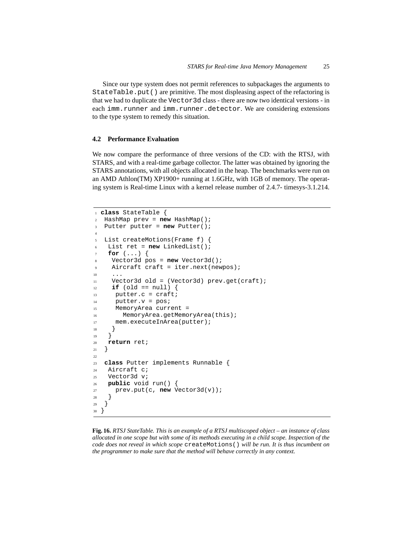Since our type system does not permit references to subpackages the arguments to StateTable.put() are primitive. The most displeasing aspect of the refactoring is that we had to duplicate the Vector3d class - there are now two identical versions - in each imm.runner and imm.runner.detector. We are considering extensions to the type system to remedy this situation.

## **4.2 Performance Evaluation**

We now compare the performance of three versions of the CD: with the RTSJ, with STARS, and with a real-time garbage collector. The latter was obtained by ignoring the STARS annotations, with all objects allocated in the heap. The benchmarks were run on an AMD Athlon(TM) XP1900+ running at 1.6GHz, with 1GB of memory. The operating system is Real-time Linux with a kernel release number of 2.4.7- timesys-3.1.214.

```
1 class StateTable {
2 HashMap prev = new HashMap();
3 Putter putter = new Putter();
4
5 List createMotions(Frame f) {
6 List ret = new LinkedList();
7 for (...) {
8 Vector3d pos = new Vector3d();
9 Aircraft craft = iter.next(newpos);
10\,11 Vector3d old = (Vector3d) prev.get(craft);
12 if (old == null) {
13 putter.c = craft;
14 putter.v = pos;
15 MemoryArea current =
16 MemoryArea.getMemoryArea(this);
17 mem.executeInArea(putter);
18 }
19 }
20 return ret;
21 }
22
23 class Putter implements Runnable {
24 Aircraft c;
25 Vector3d v;
26 public void run() {
27 prev.put(c, new Vector3d(v));
{\bf 28}29 }
30 }
```
**Fig. 16.** *RTSJ StateTable. This is an example of a RTSJ multiscoped object – an instance of class allocated in one scope but with some of its methods executing in a child scope. Inspection of the code does not reveal in which scope* createMotions() *will be run. It is thus incumbent on the programmer to make sure that the method will behave correctly in any context.*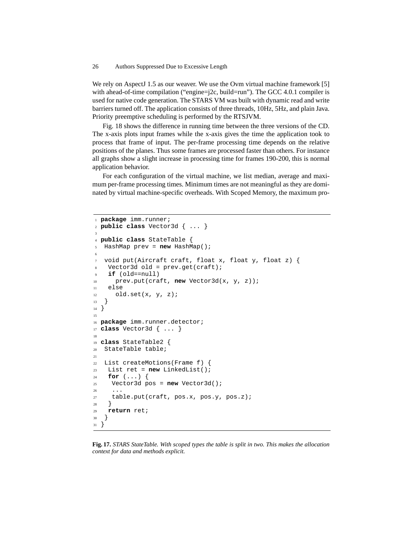We rely on AspectJ 1.5 as our weaver. We use the Ovm virtual machine framework [5] with ahead-of-time compilation ("engine=j2c, build=run"). The GCC 4.0.1 compiler is used for native code generation. The STARS VM was built with dynamic read and write barriers turned off. The application consists of three threads, 10Hz, 5Hz, and plain Java. Priority preemptive scheduling is performed by the RTSJVM.

Fig. 18 shows the difference in running time between the three versions of the CD. The x-axis plots input frames while the x-axis gives the time the application took to process that frame of input. The per-frame processing time depends on the relative positions of the planes. Thus some frames are processed faster than others. For instance all graphs show a slight increase in processing time for frames 190-200, this is normal application behavior.

For each configuration of the virtual machine, we list median, average and maximum per-frame processing times. Minimum times are not meaningful as they are dominated by virtual machine-specific overheads. With Scoped Memory, the maximum pro-

```
1 package imm.runner;
2 public class Vector3d { ... }
3
4 public class StateTable {
5 HashMap prev = new HashMap();
6
7 void put(Aircraft craft, float x, float y, float z) {
8 Vector3d old = prev.get(craft);
9 if (old==null)
10 prev.put(craft, new Vector3d(x, y, z));
11 else
12 old.set(x, y, z);
13 }
14 }
15
16 package imm.runner.detector;
17 class Vector3d { ... }
18
19 class StateTable2 {
20 StateTable table;
21
22 List createMotions(Frame f) {
23 List ret = new LinkedList();
24 for (...) {
25 Vector3d pos = new Vector3d();
26 \cdot \cdot \cdot27 table.put(craft, pos.x, pos.y, pos.z);
28 }
29 return ret;
30 }
31 }
```
**Fig. 17.** *STARS StateTable. With scoped types the table is split in two. This makes the allocation context for data and methods explicit.*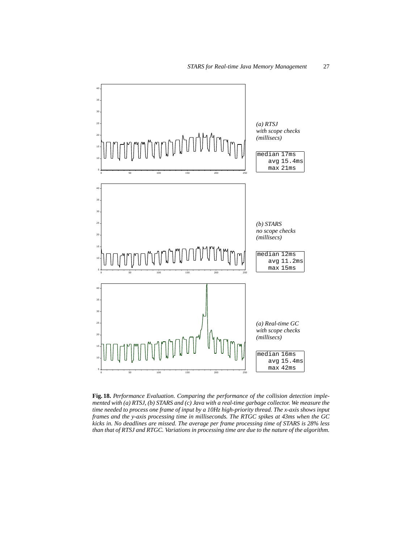

**Fig. 18.** *Performance Evaluation. Comparing the performance of the collision detection implemented with (a) RTSJ, (b) STARS and (c) Java with a real-time garbage collector. We measure the time needed to process one frame of input by a 10Hz high-priority thread. The x-axis shows input frames and the y-axis processing time in milliseconds. The RTGC spikes at 43ms when the GC kicks in. No deadlines are missed. The average per frame processing time of STARS is 28% less than that of RTSJ and RTGC. Variations in processing time are due to the nature of the algorithm.*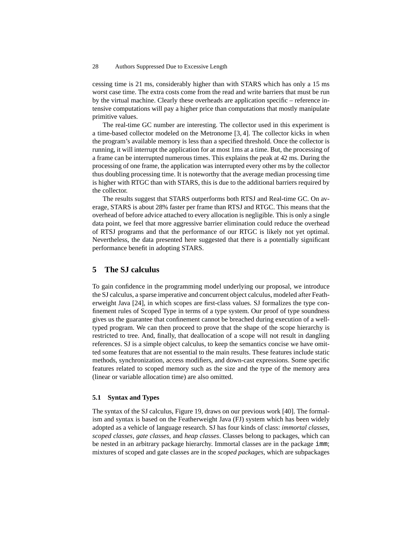cessing time is 21 ms, considerably higher than with STARS which has only a 15 ms worst case time. The extra costs come from the read and write barriers that must be run by the virtual machine. Clearly these overheads are application specific – reference intensive computations will pay a higher price than computations that mostly manipulate primitive values.

The real-time GC number are interesting. The collector used in this experiment is a time-based collector modeled on the Metronome [3, 4]. The collector kicks in when the program's available memory is less than a specified threshold. Once the collector is running, it will interrupt the application for at most 1ms at a time. But, the processing of a frame can be interrupted numerous times. This explains the peak at 42 ms. During the processing of one frame, the application was interrupted every other ms by the collector thus doubling processing time. It is noteworthy that the average median processing time is higher with RTGC than with STARS, this is due to the additional barriers required by the collector.

The results suggest that STARS outperforms both RTSJ and Real-time GC. On average, STARS is about 28% faster per frame than RTSJ and RTGC. This means that the overhead of before advice attached to every allocation is negligible. This is only a single data point, we feel that more aggressive barrier elimination could reduce the overhead of RTSJ programs and that the performance of our RTGC is likely not yet optimal. Nevertheless, the data presented here suggested that there is a potentially significant performance benefit in adopting STARS.

## **5 The SJ calculus**

To gain confidence in the programming model underlying our proposal, we introduce the SJ calculus, a sparse imperative and concurrent object calculus, modeled after Featherweight Java [24], in which scopes are first-class values. SJ formalizes the type confinement rules of Scoped Type in terms of a type system. Our proof of type soundness gives us the guarantee that confinement cannot be breached during execution of a welltyped program. We can then proceed to prove that the shape of the scope hierarchy is restricted to tree. And, finally, that deallocation of a scope will not result in dangling references. SJ is a simple object calculus, to keep the semantics concise we have omitted some features that are not essential to the main results. These features include static methods, synchronization, access modifiers, and down-cast expressions. Some specific features related to scoped memory such as the size and the type of the memory area (linear or variable allocation time) are also omitted.

## **5.1 Syntax and Types**

The syntax of the SJ calculus, Figure 19, draws on our previous work [40]. The formalism and syntax is based on the Featherweight Java (FJ) system which has been widely adopted as a vehicle of language research. SJ has four kinds of class: *immortal classes*, *scoped classes*, *gate classes*, and *heap classes*. Classes belong to packages, which can be nested in an arbitrary package hierarchy. Immortal classes are in the package imm; mixtures of scoped and gate classes are in the *scoped packages*, which are subpackages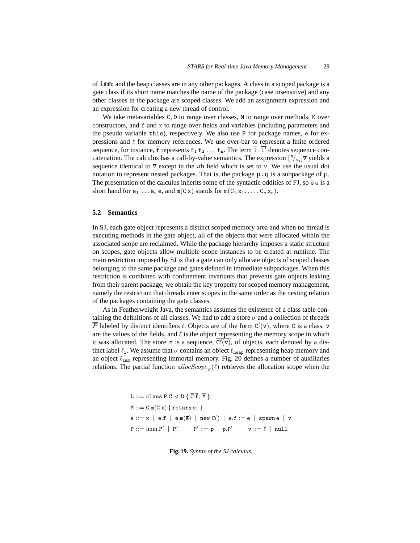of imm; and the heap classes are in any other packages. A class in a scoped package is a gate class if its short name matches the name of the package (case insensitive) and any other classes in the package are scoped classes. We add an assignment expression and an expression for creating a new thread of control.

We take metavariables C, D to range over classes, M to range over methods, K over constructors, and f and x to range over fields and variables (including parameters and the pseudo variable this), respectively. We also use P for package names, e for expressions and  $\ell$  for memory references. We use over-bar to represent a finite ordered sequence, for instance,  $\bar{f}$  represents  $f_1 f_2 \ldots f_n$ . The term  $\bar{1}$  .  $\bar{1}$  denotes sequence concatenation. The calculus has a call-by-value semantics. The expression  $\lbrack \mathbf{v}_{\mathbf{v}_i} \rbrack$  vields a sequence identical to  $\overline{v}$  except in the *i*th field which is set to v. We use the usual dot notation to represent nested packages. That is, the package  $p \cdot q$  is a subpackage of p. The presentation of the calculus inherits some of the syntactic oddities of FJ, so  $\overline{e}$  e is a short hand for  $e_1 \ldots e_n e_n$ , and  $m(\overline{C} \overline{x})$  stands for  $m(C_1 x_1, \ldots, C_n x_n)$ .

### **5.2 Semantics**

In SJ, each gate object represents a distinct scoped memory area and when no thread is executing methods in the gate object, all of the objects that were allocated within the associated scope are reclaimed. While the package hierarchy imposes a static structure on scopes, gate objects allow multiple scope instances to be created at runtime. The main restriction imposed by SJ is that a gate can only allocate objects of scoped classes belonging to the same package and gates defined in immediate subpackages. When this restriction is combined with confinement invariants that prevents gate objects leaking from their parent package, we obtain the key property for scoped memory management, namely the restriction that threads enter scopes in the same order as the nesting relation of the packages containing the gate classes.

As in Featherweight Java, the semantics assumes the existence of a class table containing the definitions of all classes. We had to add a store  $\sigma$  and a collection of threads  $\overline{P}$  labeled by distinct identifiers  $\bar{t}$ . Objects are of the form  $C^{\ell}(\overline{v})$ , where C is a class,  $\overline{v}$ are the values of the fields, and  $\ell$  is the object representing the memory scope in which it was allocated. The store  $\sigma$  is a sequence,  $C^{\ell}(\overline{v})$ , of objects, each denoted by a distinct label  $\ell_i$ . We assume that  $\sigma$  contains an object  $\ell_{\texttt{heap}}$  representing heap memory and an object  $\ell_{\text{imm}}$  representing immortal memory. Fig. 20 defines a number of auxiliaries relations. The partial function  $allocScope_{\sigma}(\ell)$  retrieves the allocation scope when the

> L ::= class P.C  $\triangleleft D \{ \overline{C} \overline{f}; \overline{M} \}$  $M ::= C m(\overline{C} \overline{x}) \{ return e; \}$  $\mathtt{e} ::= \mathtt{x} ~|~ \mathtt{e.f} ~|~ \mathtt{e.m}(\overline{\mathtt{e}}) ~|~ \mathtt{new}~ \mathtt{C}() ~|~ \mathtt{e.f} := \mathtt{e} ~|~ \mathtt{spawn}~ \mathtt{e} ~|~ \mathtt{v}$  $P ::= \text{imm.P}' \mid P' \qquad P' ::= p \mid p.P' \qquad v ::= \ell \mid \text{null}$

> > **Fig. 19.** *Syntax of the SJ calculus.*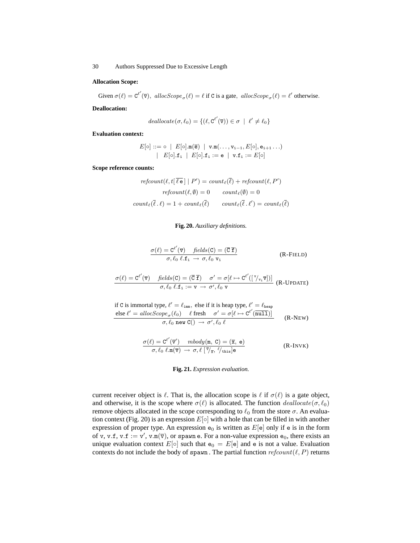## **Allocation Scope:**

Given  $\sigma(\ell) = \mathbf{C}^{\ell'}(\overline{\mathbf{v}})$ ,  $allocScope_{\sigma}(\ell) = \ell$  if C is a gate,  $allocScope_{\sigma}(\ell) = \ell'$  otherwise.

**Deallocation:**

$$
deallocate(\sigma, \ell_0) = \{(\ell, \mathbf{C}^{\ell'}(\overline{\mathbf{v}})) \in \sigma \mid \ell' \neq \ell_0\}
$$

**Evaluation context:**

$$
E[\circ] ::= \circ \mid E[\circ].\mathbf{m}(\overline{e}) \mid \mathbf{v}.\mathbf{m}(\dots, \mathbf{v}_{i-1}, E[\circ], \mathbf{e}_{i+1} \dots) \mid E[\circ].\mathbf{f}_i \mid E[\circ].\mathbf{f}_i := \mathbf{e} \mid \mathbf{v}.\mathbf{f}_i := E[\circ]
$$

**Scope reference counts:**

$$
refcount(\ell, t[\overline{\ell e}] | P') = count_{\ell}(\overline{\ell}) + refcount(\ell, P')
$$

$$
refcount(\ell, \emptyset) = 0 \qquad count_{\ell}(\emptyset) = 0
$$

$$
count_{\ell}(\overline{\ell}, \ell) = 1 + count_{\ell}(\overline{\ell}) \qquad count_{\ell}(\overline{\ell}, \ell') = count_{\ell}(\overline{\ell})
$$

## **Fig. 20.** *Auxiliary definitions.*

$$
\frac{\sigma(\ell) = C^{\ell'}(\overline{v}) \quad fields(C) = (\overline{C}\ \overline{f})}{\sigma, \ell_0 \ \ell, f_1 \to \sigma, \ell_0 \ v_1}
$$
\n(R-FileLD)

$$
\frac{\sigma(\ell) = C^{\ell'}(\overline{v}) \quad fields(C) = (\overline{C}\,\overline{f}) \quad \sigma' = \sigma[\ell \mapsto C^{\ell'}([\sqrt[r]{v_i \overline{v}}])]}{\sigma, \ell_0 \, \ell, f_i := v \to \sigma', \ell_0 \, v} \quad (R\text{-UPDATE})
$$

if C is immortal type, 
$$
\ell' = \ell_{\text{imm}}
$$
, else if it is heap type,  $\ell' = \ell_{\text{heap}}$  else  $\ell' = \text{allocScope}_{\sigma}(\ell_0) - \ell$  fresh  $\sigma' = \sigma[\ell \mapsto C^{\ell'}(\overline{\text{null}})]$   $\sigma, \ell_0$  new  $C() \rightarrow \sigma', \ell_0 \ell$  (R-NEW)

$$
\frac{\sigma(\ell) = C^{\ell'}(\overline{v}') \quad \text{mbody}(m, C) = (\overline{x}, e)}{\sigma, \ell_0 \ell \cdot m(\overline{v}) \rightarrow \sigma, \ell \ [\overline{v}_{\overline{x}}, \ell_{\text{this}}]e} \tag{R-INVK}
$$

## **Fig. 21.** *Expression evaluation.*

current receiver object is  $\ell$ . That is, the allocation scope is  $\ell$  if  $\sigma(\ell)$  is a gate object, and otherwise, it is the scope where  $\sigma(\ell)$  is allocated. The function  $\text{d} \text{e} \text{al} \text{lo} \text{c} \text{a} \text{t} (\sigma, \ell_0)$ remove objects allocated in the scope corresponding to  $\ell_0$  from the store  $\sigma$ . An evaluation context (Fig. 20) is an expression  $E[\circ]$  with a hole that can be filled in with another expression of proper type. An expression  $e_0$  is written as  $E[e]$  only if e is in the form of v, v.f, v.f := v', v.m( $\overline{v}$ ), or spawn e. For a non-value expression  $e_0$ , there exists an unique evaluation context  $E[\circ]$  such that  $e_0 = E[e]$  and e is not a value. Evaluation contexts do not include the body of spawn. The partial function  $refcount(\ell, P)$  returns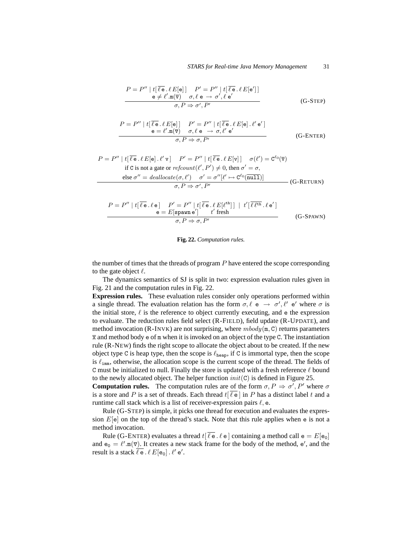$$
P = P'' \mid t[\overline{\ell \mathbf{e}}, \ell E[\mathbf{e}]] \quad P' = P'' \mid t[\overline{\ell \mathbf{e}}, \ell E[\mathbf{e}']]
$$

$$
\mathbf{e} \neq \ell'.\mathbf{m}(\overline{\mathbf{v}}) \quad \sigma, \ell \mathbf{e} \to \sigma', \ell \mathbf{e'}
$$

$$
\sigma, P \Rightarrow \sigma', P'
$$
(G-STEP)

$$
P = P'' \mid t[\overline{\ell \mathbf{e}} \cdot \ell E[\mathbf{e}]] \quad P' = P'' \mid t[\overline{\ell \mathbf{e}} \cdot \ell E[\mathbf{e}] \cdot \ell' \mathbf{e}'] \mathbf{e} = \ell'.m(\overline{\mathbf{v}}) \quad \sigma, \ell \mathbf{e} \rightarrow \sigma, \ell' \mathbf{e}'
$$
\n
$$
\sigma, P \Rightarrow \sigma, P' \tag{G-ENTER}
$$

$$
P = P'' \mid t[\overline{\ell} \mathbf{e} \cdot \ell E[\mathbf{e}] \cdot \ell' \mathbf{v}] \qquad P' = P'' \mid t[\overline{\ell} \mathbf{e} \cdot \ell E[\mathbf{v}]] \qquad \sigma(\ell') = \mathbf{C}^{\ell_0}(\overline{\mathbf{v}})
$$
  
if C is not a gate or  $refcount(\ell', P') \neq 0$ , then  $\sigma' = \sigma$ ,  
else  $\sigma'' = deallocated(\sigma, \ell') \qquad \sigma' = \sigma''[\ell' \mapsto \mathbf{C}^{\ell_0}(\overline{\mathtt{null}})]$   
 $\sigma, P \Rightarrow \sigma', P'$  (G-RETURN)

$$
P = P'' \mid t[\overline{\ell \mathbf{e}} \cdot \ell \mathbf{e}] \quad P' = P'' \mid t[\overline{\ell \mathbf{e}} \cdot \ell E[\ell^{\text{th}}]] \mid t'[\overline{\ell \ell^{\text{th}}} \cdot \ell \mathbf{e}']
$$
  

$$
\mathbf{e} = E[\text{spam } \mathbf{e}'] \qquad t' \text{ fresh}
$$
  

$$
\sigma, P \Rightarrow \sigma, P'
$$
 (G-Spawn)



the number of times that the threads of program  $P$  have entered the scope corresponding to the gate object  $\ell$ .

The dynamics semantics of SJ is split in two: expression evaluation rules given in Fig. 21 and the computation rules in Fig. 22.

**Expression rules.** These evaluation rules consider only operations performed within a single thread. The evaluation relation has the form  $\sigma, \ell \in \to \sigma', \ell' \in \ell'$  where  $\sigma$  is the initial store,  $\ell$  is the reference to object currently executing, and e the expression to evaluate. The reduction rules field select (R-FIELD), field update (R-UPDATE), and method invocation (R-INVK) are not surprising, where  $m \cdot b \cdot d \cdot y$  returns parameters  $\bar{x}$  and method body e of m when it is invoked on an object of the type C. The instantiation rule (R-NEW) finds the right scope to allocate the object about to be created. If the new object type C is heap type, then the scope is  $\ell_{\text{heap}}$ , if C is immortal type, then the scope is  $\ell_{\text{imm}}$ , otherwise, the allocation scope is the current scope of the thread. The fields of C must be initialized to null. Finally the store is updated with a fresh reference  $\ell$  bound to the newly allocated object. The helper function  $init(C)$  is defined in Figure 25.

**Computation rules.** The computation rules are of the form  $\sigma, P \Rightarrow \sigma', P'$  where  $\sigma$ is a store and P is a set of threads. Each thread  $t[\ell e]$  in P has a distinct label t and a runtime call stack which is a list of receiver-expression pairs  $\ell$ , e.

Rule (G-STEP) is simple, it picks one thread for execution and evaluates the expression  $E[\mathbf{e}]$  on the top of the thread's stack. Note that this rule applies when  $\mathbf{e}$  is not a method invocation.

Rule (G-ENTER) evaluates a thread  $t\bar{\ell} \in \ell e$  containing a method call  $e = E[e_0]$ and  $e_0 = \ell' \cdot m(\overline{v})$ . It creates a new stack frame for the body of the method,  $e'$ , and the result is a stack  $\overline{\ell \operatorname{\mathsf{e}}}$  .  $\ell \, E[\operatorname{\mathsf{e}}_0]$  .  $\ell'$   $\operatorname{\mathsf{e}}'$ .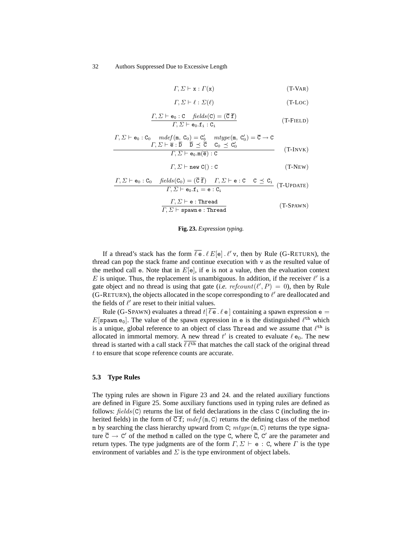$$
\Gamma, \Sigma \vdash x : \Gamma(x) \tag{T-VAR}
$$

$$
\Gamma, \Sigma \vdash \ell : \Sigma(\ell) \tag{T-LOC}
$$

$$
\frac{\Gamma, \Sigma \vdash \mathbf{e}_0 : \mathbf{C} \quad fields(\mathbf{C}) = (\overline{\mathbf{C}} \ \overline{\mathbf{f}})}{\Gamma, \Sigma \vdash \mathbf{e}_0.\mathbf{f}_1 : \mathbf{C}_1} \tag{T-FIELD}
$$

$$
\Gamma, \Sigma \vdash e_0 : C_0 \quad \text{mdef}(\mathfrak{m}, C_0) = C'_0 \quad \text{mtype}(\mathfrak{m}, C'_0) = \overline{C} \to C
$$
\n
$$
\Gamma, \Sigma \vdash \overline{e} : \overline{D} \quad \overline{D} \preceq \overline{C} \quad C_0 \preceq C'_0
$$
\n
$$
\Gamma, \Sigma \vdash e_0 . \mathfrak{m}(\overline{e}) : C
$$
\n(T-INVK)

$$
\Gamma, \Sigma \vdash \text{new } C() : C \tag{T-NEW}
$$

$$
\frac{\Gamma, \Sigma \vdash e_0 : C_0 \quad \text{fields}(C_0) = (\overline{C} \ \overline{f}) \quad \Gamma, \Sigma \vdash e : C \quad C \preceq C_i}{\Gamma, \Sigma \vdash e_0.f_i = e : C_i} \quad (\text{T-UPDATE})
$$

$$
\frac{\Gamma, \Sigma \vdash e : \text{Thread}}{\Gamma, \Sigma \vdash \text{spam } e : \text{Thread}} \tag{T-Spawn}
$$

## **Fig. 23.** *Expression typing.*

If a thread's stack has the form  $\overline{\ell e}$ .  $\ell E[e]$ .  $\ell' v$ , then by Rule (G-RETURN), the thread can pop the stack frame and continue execution with v as the resulted value of the method call e. Note that in  $E[e]$ , if e is not a value, then the evaluation context  $E$  is unique. Thus, the replacement is unambiguous. In addition, if the receiver  $\ell'$  is a gate object and no thread is using that gate (*i.e. refcount*( $\ell', P$ ) = 0), then by Rule (G-RETURN), the objects allocated in the scope corresponding to  $\ell'$  are deallocated and the fields of  $\ell'$  are reset to their initial values.

Rule (G-SPAWN) evaluates a thread  $t[\overline{\ell} \cdot \ell e]$  containing a spawn expression  $e =$ E[spawn e<sub>0</sub>]. The value of the spawn expression in e is the distinguished  $\ell^{th}$  which is a unique, global reference to an object of class Thread and we assume that  $\ell^{\text{th}}$  is allocated in immortal memory. A new thread  $t'$  is created to evaluate  $\ell e_0$ . The new thread is started with a call stack  $\ell \ell^{\text{th}}$  that matches the call stack of the original thread t to ensure that scope reference counts are accurate.

## **5.3 Type Rules**

The typing rules are shown in Figure 23 and 24. and the related auxiliary functions are defined in Figure 25. Some auxiliary functions used in typing rules are defined as follows:  $fields(C)$  returns the list of field declarations in the class C (including the inherited fields) in the form of  $\overline{C} \overline{f}$ ;  $mdef(m, C)$  returns the defining class of the method m by searching the class hierarchy upward from C;  $mtype(m, C)$  returns the type signature  $\bar{C} \to C'$  of the method m called on the type C, where  $\bar{C}$ , C' are the parameter and return types. The type judgments are of the form  $\Gamma, \Sigma \vdash e : C$ , where  $\Gamma$  is the type environment of variables and  $\Sigma$  is the type environment of object labels.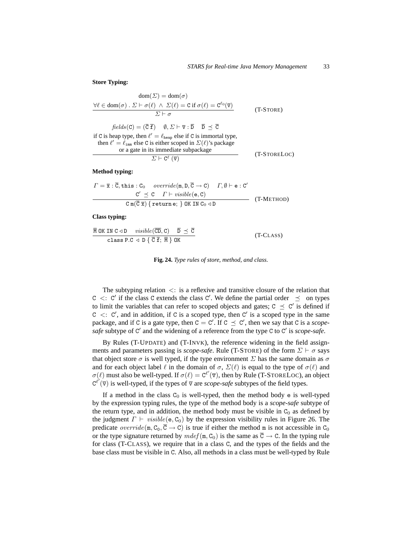**Store Typing:**

$$
\text{dom}(\Sigma) = \text{dom}(\sigma)
$$
\n
$$
\forall \ell \in \text{dom}(\sigma) \cdot \Sigma \vdash \sigma(\ell) \land \Sigma(\ell) = \text{C if } \sigma(\ell) = \text{C}^{\ell_0}(\overline{v})
$$
\n
$$
\Sigma \vdash \sigma
$$
\n
$$
\text{fields}(\text{C}) = (\overline{\text{C}} \overline{\text{f}}) \quad \emptyset, \Sigma \vdash \overline{v} : \overline{\text{D}} \overline{\text{D}} \preceq \overline{\text{C}}
$$
\n
$$
\text{if } \text{C is heap type, then } \ell' = \ell_{\text{heap}} \text{ else if } \text{C is immortal type, then } \ell' = \ell_{\text{map}} \text{ else } \text{C is either stopped in } \Sigma(\ell) \text{'s package}
$$
\n
$$
\text{or a gate in its immediate subpackage}
$$
\n
$$
\Sigma \vdash \text{C}^{\ell}(\overline{v})
$$
\n
$$
(T\text{-}STORELoc)
$$

**Method typing:**

$$
\begin{array}{ccc}\n\Gamma = \overline{\mathbf{x}} : \overline{\mathbf{C}}, \text{this}: \mathbf{C}_0 & override(\mathfrak{m}, \mathbf{D}, \overline{\mathbf{C}} \to \mathbf{C}) & \Gamma, \emptyset \vdash \mathbf{e} : \mathbf{C}' \\
\hline\n\mathbf{C}' \preceq \mathbf{C} & \Gamma \vdash visible(\mathbf{e}, \mathbf{C}) & & \\
\hline\n\mathbf{C} \mathbf{m}(\overline{\mathbf{C}} \overline{\mathbf{x}}) \{ \text{return } \mathbf{e}; \ \} \mathbf{OK} \mathbf{IN} \mathbf{C}_0 \triangleleft \mathbf{D} & & \\
\end{array}\n\quad \text{(T-METHOD)}
$$

**Class typing:**

$$
\frac{\overline{M} \text{ OK IN } C \triangleleft D \quad visible(\overline{CD}, C) \quad \overline{D} \preceq \overline{C} \quad (\text{T-CLASS})}{\text{class } P.C \triangleleft D \{ \overline{C} \overline{f}; \overline{M} \} \text{ OK}}
$$

**Fig. 24.** *Type rules of store, method, and class.*

The subtyping relation  $\langle$ : is a reflexive and transitive closure of the relation that  $C \leq C'$  if the class C extends the class C'. We define the partial order  $\preceq$  on types to limit the variables that can refer to scoped objects and gates;  $C \preceq C'$  is defined if  $C \lt: C'$ , and in addition, if C is a scoped type, then C' is a scoped type in the same package, and if C is a gate type, then  $C = C'$ . If  $C \preceq C'$ , then we say that C is a *scope*safe subtype of C' and the widening of a reference from the type C to C' is *scope-safe*.

By Rules (T-UPDATE) and (T-INVK), the reference widening in the field assignments and parameters passing is *scope-safe*. Rule (T-STORE) of the form  $\Sigma \vdash \sigma$  says that object store  $\sigma$  is well typed, if the type environment  $\Sigma$  has the same domain as  $\sigma$ and for each object label  $\ell$  in the domain of  $\sigma$ ,  $\Sigma(\ell)$  is equal to the type of  $\sigma(\ell)$  and  $\sigma(\ell)$  must also be well-typed. If  $\sigma(\ell) = C^{\ell'}(\overline{v})$ , then by Rule (T-STORELOC), an object  $C^{\ell'}(\overline{v})$  is well-typed, if the types of  $\overline{v}$  are *scope-safe* subtypes of the field types.

If a method in the class  $C_0$  is well-typed, then the method body e is well-typed by the expression typing rules, the type of the method body is a *scope-safe* subtype of the return type, and in addition, the method body must be visible in  $C_0$  as defined by the judgment  $\Gamma \vdash visible(e, C_0)$  by the expression visibility rules in Figure 26. The predicate override(m,  $C_0$ ,  $\overline{C} \rightarrow C$ ) is true if either the method m is not accessible in  $C_0$ or the type signature returned by  $mdef(m, C_0)$  is the same as  $\overline{C} \rightarrow C$ . In the typing rule for class (T-CLASS), we require that in a class C, and the types of the fields and the base class must be visible in C. Also, all methods in a class must be well-typed by Rule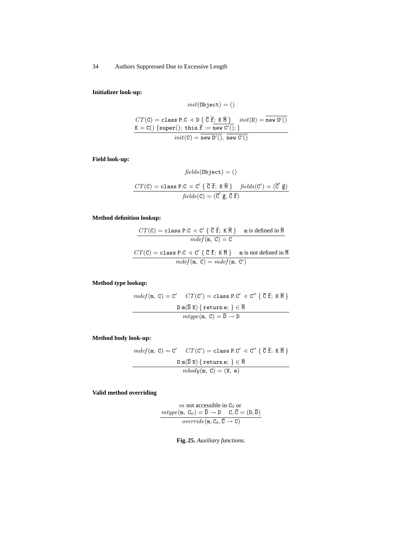**Initializer look-up:**

$$
init(\mathtt{Object}) = ()
$$

$$
\text{CT}(C) = \text{class P.C } \triangleleft D \{ \overline{C} \overline{f}; \underline{K} \overline{M} \} \quad \text{init}(D) = \overline{\text{new } D'(\overline{C})} \\ \underline{K} = C() \{ \text{super(); this.} \overline{f} := \overline{\text{new } C'(\overline{C})}; \} \\ \text{init}(C) = \overline{\text{new } D'(\overline{C}) \text{ new } C'(\overline{C})}
$$

**Field look-up:**

$$
\mathit{fields}(\mathtt{Object}) = ()
$$

$$
\frac{CT(\mathbf{C}) = \text{class P.C } \triangleleft \text{ C'} \{ \overline{C} \overline{f}; K \overline{M} \} \quad \text{fields}(\mathbf{C'}) = (\overline{C'} \overline{g})}{\text{fields}(\mathbf{C}) = (\overline{C'} \overline{g}, \overline{C} \overline{f})}
$$

**Method definition lookup:**

$$
\frac{CT(C) = \text{class P.C } \lhd C' \{ \overline{C} \overline{f}; K \overline{M} \} \quad \text{m is defined in } \overline{M} \quad \text{mdef}(\mathfrak{m}, C) = C}
$$
\n
$$
\frac{CT(C) = \text{class P.C } \lhd C' \{ \overline{C} \overline{f}; K \overline{M} \} \quad \text{m is not defined in } \overline{M} \quad \text{mdef}(\mathfrak{m}, C) = \text{mdef}(\mathfrak{m}, C')}
$$

**Method type lookup:**

$$
mdef(\mathfrak{m}, C) = C' \quad CT(C') = \text{class } P.C' \triangleleft C'' \{ \overline{C} \overline{f}; K \overline{M} \}
$$
\n
$$
D \mathfrak{m}(\overline{D} \overline{x}) \{ \text{return } e; \} \in \overline{M}
$$
\n
$$
mtype(\mathfrak{m}, C) = \overline{D} \rightarrow D
$$

**Method body look-up:**

$$
mdef(\mathfrak{m}, C) = C' \quad CT(C') = \text{class } P.C' \triangleleft C'' \{ \overline{C} \overline{f}; K \overline{M} \}
$$
\n
$$
D \mathfrak{m}(\overline{D} \overline{x}) \{ \text{return } e; \} \in \overline{M}
$$
\n
$$
mbody(\mathfrak{m}, C) = (\overline{x}, e)
$$

**Valid method overriding**

$$
\begin{array}{c} m \; \text{not accessible in} \; C_0 \; \text{or} \\ \frac{mtype(\text{m}, \; C_0) = \overline{D} \to D \quad \ \, C, \, \overline{C} = (D, \overline{D})}{override(\text{m}, \, C_0, \, \overline{C} \to C)} \end{array}
$$

**Fig. 25.** *Auxiliary functions.*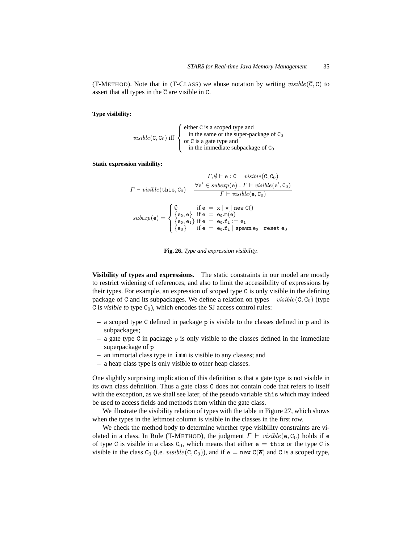(T-METHOD). Note that in (T-CLASS) we abuse notation by writing  $visible(\overline{C}, C)$  to assert that all types in the  $\overline{C}$  are visible in C.

**Type visibility:**

*visible*(C, C<sub>0</sub>) iff 
$$
\left\{\begin{array}{l}\text{either } C \text{ is a scope of type and} \\ \text{in the same or the super-package of } C_0 \\ \text{or } C \text{ is a gate type and} \\ \text{in the immediate subpackage of } C_0 \end{array}\right.
$$

**Static expression visibility:**

$$
\Gamma, \emptyset \vdash e : C \quad visible(C, C_0)
$$
\n
$$
\Gamma \vdash visible(\texttt{this}, C_0) \quad \frac{\forall e' \in subexp(e) \cdot \Gamma \vdash visible(e', C_0)}{\Gamma \vdash visible(e, C_0)}
$$
\n
$$
subexp(e) = \begin{cases} \n\emptyset & \text{if } e = x \mid v \mid new C() \\ \n\{e_0, e_1\} & \text{if } e = e_0 \cdot m(\overline{e}) \\ \n\{e_0, e_1\} & \text{if } e = e_0 \cdot f_1 := e_1 \\ \n\{e_0\} & \text{if } e = e_0 \cdot f_1 \mid span \, e_0 \mid reset \, e_0 \n\end{cases}
$$

**Fig. 26.** *Type and expression visibility.*

**Visibility of types and expressions.** The static constraints in our model are mostly to restrict widening of references, and also to limit the accessibility of expressions by their types. For example, an expression of scoped type C is only visible in the defining package of C and its subpackages. We define a relation on types –  $visible(C, C_0)$  (type C is *visible to* type  $C_0$ ), which encodes the SJ access control rules:

- **–** a scoped type C defined in package p is visible to the classes defined in p and its subpackages;
- **–** a gate type C in package p is only visible to the classes defined in the immediate superpackage of p
- **–** an immortal class type in imm is visible to any classes; and
- **–** a heap class type is only visible to other heap classes.

One slightly surprising implication of this definition is that a gate type is not visible in its own class definition. Thus a gate class C does not contain code that refers to itself with the exception, as we shall see later, of the pseudo variable this which may indeed be used to access fields and methods from within the gate class.

We illustrate the visibility relation of types with the table in Figure 27, which shows when the types in the leftmost column is visible in the classes in the first row.

We check the method body to determine whether type visibility constraints are violated in a class. In Rule (T-METHOD), the judgment  $\Gamma \vdash visible(e, C_0)$  holds if e of type C is visible in a class  $C_0$ , which means that either  $e = \text{this}$  or the type C is visible in the class  $C_0$  (i.e.  $visible(C, C_0)$ ), and if  $e = new C(\overline{e})$  and C is a scoped type,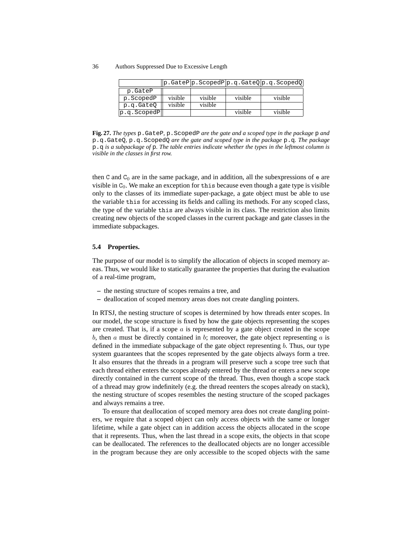|             |         |         |         | $\left\Vert \text{p.SateP}\right\vert \text{p.ScopedP}\right\vert \text{p.q.GateQ}\left\vert \text{p.q.ScopedQ}\right\vert$ |
|-------------|---------|---------|---------|-----------------------------------------------------------------------------------------------------------------------------|
| p.GateP     |         |         |         |                                                                                                                             |
| p.ScopedP   | visible | visible | visible | visible                                                                                                                     |
| p.g.GateQ   | visible | visible |         |                                                                                                                             |
| p.q.ScopedP |         |         | visible | visible                                                                                                                     |

**Fig. 27.** *The types* p.GateP*,* p.ScopedP *are the gate and a scoped type in the package* p *and* p.q.GateQ*,* p.q.ScopedQ *are the gate and scoped type in the package* p.q*. The package* p.q *is a subpackage of* p*. The table entries indicate whether the types in the leftmost column is visible in the classes in first row.*

then C and  $C_0$  are in the same package, and in addition, all the subexpressions of  $e$  are visible in  $C_0$ . We make an exception for this because even though a gate type is visible only to the classes of its immediate super-package, a gate object must be able to use the variable this for accessing its fields and calling its methods. For any scoped class, the type of the variable this are always visible in its class. The restriction also limits creating new objects of the scoped classes in the current package and gate classes in the immediate subpackages.

#### **5.4 Properties.**

The purpose of our model is to simplify the allocation of objects in scoped memory areas. Thus, we would like to statically guarantee the properties that during the evaluation of a real-time program,

- **–** the nesting structure of scopes remains a tree, and
- **–** deallocation of scoped memory areas does not create dangling pointers.

In RTSJ, the nesting structure of scopes is determined by how threads enter scopes. In our model, the scope structure is fixed by how the gate objects representing the scopes are created. That is, if a scope  $a$  is represented by a gate object created in the scope b, then a must be directly contained in b; moreover, the gate object representing  $\alpha$  is defined in the immediate subpackage of the gate object representing  $b$ . Thus, our type system guarantees that the scopes represented by the gate objects always form a tree. It also ensures that the threads in a program will preserve such a scope tree such that each thread either enters the scopes already entered by the thread or enters a new scope directly contained in the current scope of the thread. Thus, even though a scope stack of a thread may grow indefinitely (e.g. the thread reenters the scopes already on stack), the nesting structure of scopes resembles the nesting structure of the scoped packages and always remains a tree.

To ensure that deallocation of scoped memory area does not create dangling pointers, we require that a scoped object can only access objects with the same or longer lifetime, while a gate object can in addition access the objects allocated in the scope that it represents. Thus, when the last thread in a scope exits, the objects in that scope can be deallocated. The references to the deallocated objects are no longer accessible in the program because they are only accessible to the scoped objects with the same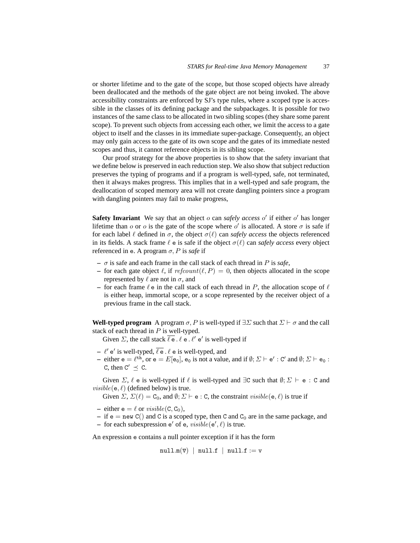or shorter lifetime and to the gate of the scope, but those scoped objects have already been deallocated and the methods of the gate object are not being invoked. The above accessibility constraints are enforced by SJ's type rules, where a scoped type is accessible in the classes of its defining package and the subpackages. It is possible for two instances of the same class to be allocated in two sibling scopes (they share some parent scope). To prevent such objects from accessing each other, we limit the access to a gate object to itself and the classes in its immediate super-package. Consequently, an object may only gain access to the gate of its own scope and the gates of its immediate nested scopes and thus, it cannot reference objects in its sibling scope.

Our proof strategy for the above properties is to show that the safety invariant that we define below is preserved in each reduction step. We also show that subject reduction preserves the typing of programs and if a program is well-typed, safe, not terminated, then it always makes progress. This implies that in a well-typed and safe program, the deallocation of scoped memory area will not create dangling pointers since a program with dangling pointers may fail to make progress,

**Safety Invariant** We say that an object o can *safely access* o' if either o' has longer lifetime than o or o is the gate of the scope where o' is allocated. A store  $\sigma$  is safe if for each label  $\ell$  defined in  $\sigma$ , the object  $\sigma(\ell)$  can *safely access* the objects referenced in its fields. A stack frame  $\ell$  e is safe if the object  $\sigma(\ell)$  can *safely access* every object referenced in e. A program σ, P is *safe* if

- **–** σ is safe and each frame in the call stack of each thread in P is *safe*,
- for each gate object  $\ell$ , if  $refcount(\ell, P) = 0$ , then objects allocated in the scope represented by  $\ell$  are not in  $\sigma$ , and
- for each frame  $\ell$  e in the call stack of each thread in P, the allocation scope of  $\ell$ is either heap, immortal scope, or a scope represented by the receiver object of a previous frame in the call stack.

**Well-typed program** A program  $\sigma$ , P is well-typed if  $\exists \Sigma$  such that  $\Sigma \vdash \sigma$  and the call stack of each thread in  $P$  is well-typed.

Given  $\Sigma$ , the call stack  $\overline{\ell}$  e.  $\ell$  e.  $\ell'$  e' is well-typed if

- $\ell'$  e' is well-typed,  $\overline{\ell}$  e .  $\ell$  e is well-typed, and
- **−** either  $\mathbf{e} = \ell^{\text{th}}$ , or  $\mathbf{e} = E[\mathbf{e}_0]$ ,  $\mathbf{e}_0$  is not a value, and if  $\emptyset; \Sigma \vdash \mathbf{e}' : C'$  and  $\emptyset; \Sigma \vdash \mathbf{e}_0$ : C, then  $C' \preceq C$ .

Given  $\Sigma$ ,  $\ell$  e is well-typed if  $\ell$  is well-typed and  $\exists C$  such that  $\emptyset$ ;  $\Sigma \vdash e : C$  and  $visible(e, l)$  (defined below) is true.

Given  $\Sigma$ ,  $\Sigma(\ell) = C_0$ , and  $\emptyset$ ;  $\Sigma \vdash e : C$ , the constraint *visible*(e,  $\ell$ ) is true if

- **–** either  $e = \ell$  or  $visible(C, C_0)$ ,
- $-$  if  $e =$  new C() and C is a scoped type, then C and C<sub>0</sub> are in the same package, and
- for each subexpression  $e'$  of  $e$ ,  $visible(e', \ell)$  is true.

An expression e contains a null pointer exception if it has the form

 $null.m(\overline{v})$  | null.f | null.f := v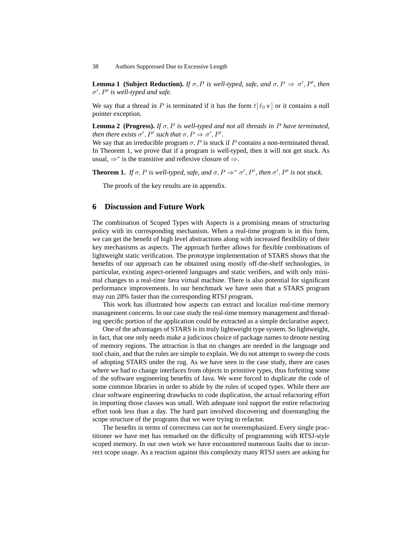**Lemma 1 (Subject Reduction).** *If*  $\sigma$ , *P is well-typed, safe, and*  $\sigma$ ,  $P \Rightarrow \sigma'$ ,  $P'$ , then  $\sigma'$ ,  $P'$  is well-typed and safe.

We say that a thread in P is terminated if it has the form  $t[\ell_0 v]$  or it contains a null pointer exception.

**Lemma 2 (Progress).** *If* σ, P *is well-typed and not all threads in* P *have terminated, then there exists*  $\sigma'$ ,  $P'$  *such that*  $\sigma$ ,  $P \Rightarrow \sigma'$ ,  $P'$ .

We say that an irreducible program  $\sigma$ , P is stuck if P contains a non-terminated thread. In Theorem 1, we prove that if a program is well-typed, then it will not get stuck. As usual,  $\Rightarrow^*$  is the transitive and reflexive closure of  $\Rightarrow$ .

**Theorem 1.** *If*  $\sigma$ , *P is well-typed, safe, and*  $\sigma$ ,  $P \Rightarrow^* \sigma'$ ,  $P'$ , then  $\sigma'$ ,  $P'$  *is not stuck.* 

The proofs of the key results are in appendix.

## **6 Discussion and Future Work**

The combination of Scoped Types with Aspects is a promising means of structuring policy with its corresponding mechanism. When a real-time program is in this form, we can get the benefit of high level abstractions along with increased flexibility of their key mechanisms as aspects. The approach further allows for flexible combinations of lightweight static verification. The prototype implementation of STARS shows that the benefits of our approach can be obtained using mostly off-the-shelf technologies, in particular, existing aspect-oriented languages and static verifiers, and with only minimal changes to a real-time Java virtual machine. There is also potential for significant performance improvements. In our benchmark we have seen that a STARS program may run 28% faster than the corresponding RTSJ program.

This work has illustrated how aspects can extract and localize real-time memory management concerns. In our case study the real-time memory management and threading specific portion of the application could be extracted as a simple declarative aspect.

One of the advantages of STARS is its truly lightweight type system. So lightweight, in fact, that one only needs make a judicious choice of package names to denote nesting of memory regions. The attraction is that no changes are needed in the language and tool chain, and that the rules are simple to explain. We do not attempt to sweep the costs of adopting STARS under the rug. As we have seen in the case study, there are cases where we had to change interfaces from objects to primitive types, thus forfeiting some of the software engineering benefits of Java. We were forced to duplicate the code of some common libraries in order to abide by the rules of scoped types. While there are clear software engineering drawbacks to code duplication, the actual refactoring effort in importing those classes was small. With adequate tool support the entire refactoring effort took less than a day. The hard part involved discovering and disentangling the scope structure of the programs that we were trying to refactor.

The benefits in terms of correctness can not be overemphasized. Every single practitioner we have met has remarked on the difficulty of programming with RTSJ-style scoped memory. In our own work we have encountered numerous faults due to incorrect scope usage. As a reaction against this complexity many RTSJ users are asking for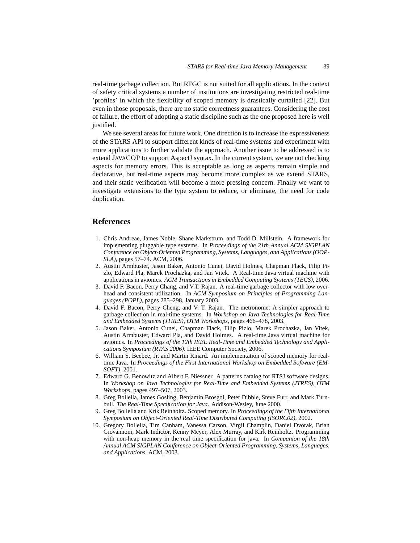real-time garbage collection. But RTGC is not suited for all applications. In the context of safety critical systems a number of institutions are investigating restricted real-time 'profiles' in which the flexibility of scoped memory is drastically curtailed [22]. But even in those proposals, there are no static correctness guarantees. Considering the cost of failure, the effort of adopting a static discipline such as the one proposed here is well justified.

We see several areas for future work. One direction is to increase the expressiveness of the STARS API to support different kinds of real-time systems and experiment with more applications to further validate the approach. Another issue to be addressed is to extend JAVACOP to support AspectJ syntax. In the current system, we are not checking aspects for memory errors. This is acceptable as long as aspects remain simple and declarative, but real-time aspects may become more complex as we extend STARS, and their static verification will become a more pressing concern. Finally we want to investigate extensions to the type system to reduce, or eliminate, the need for code duplication.

## **References**

- 1. Chris Andreae, James Noble, Shane Markstrum, and Todd D. Millstein. A framework for implementing pluggable type systems. In *Proceedings of the 21th Annual ACM SIGPLAN Conference on Object-Oriented Programming, Systems, Languages, and Applications (OOP-SLA)*, pages 57–74. ACM, 2006.
- 2. Austin Armbuster, Jason Baker, Antonio Cunei, David Holmes, Chapman Flack, Filip Pizlo, Edward Pla, Marek Prochazka, and Jan Vitek. A Real-time Java virtual machine with applications in avionics. *ACM Transactions in Embedded Computing Systems (TECS)*, 2006.
- 3. David F. Bacon, Perry Chang, and V.T. Rajan. A real-time garbage collector with low overhead and consistent utilization. In *ACM Symposium on Principles of Programming Languages (POPL)*, pages 285–298, January 2003.
- 4. David F. Bacon, Perry Cheng, and V. T. Rajan. The metronome: A simpler approach to garbage collection in real-time systems. In *Workshop on Java Technologies for Real-Time and Embedded Systems (JTRES), OTM Workshops*, pages 466–478, 2003.
- 5. Jason Baker, Antonio Cunei, Chapman Flack, Filip Pizlo, Marek Prochazka, Jan Vitek, Austin Armbuster, Edward Pla, and David Holmes. A real-time Java virtual machine for avionics. In *Proceedings of the 12th IEEE Real-Time and Embedded Technology and Applications Symposium (RTAS 2006)*. IEEE Computer Society, 2006.
- 6. William S. Beebee, Jr. and Martin Rinard. An implementation of scoped memory for realtime Java. In *Proceedings of the First International Workshop on Embedded Software (EM-SOFT)*, 2001.
- 7. Edward G. Benowitz and Albert F. Niessner. A patterns catalog for RTSJ software designs. In *Workshop on Java Technologies for Real-Time and Embedded Systems (JTRES), OTM Workshops*, pages 497–507, 2003.
- 8. Greg Bollella, James Gosling, Benjamin Brosgol, Peter Dibble, Steve Furr, and Mark Turnbull. *The Real-Time Specification for Java*. Addison-Wesley, June 2000.
- 9. Greg Bollella and Krik Reinholtz. Scoped memory. In *Proceedings of the Fifth International Symposium on Object-Oriented Real-Time Distributed Computing (ISORC02)*, 2002.
- 10. Gregory Bollella, Tim Canham, Vanessa Carson, Virgil Champlin, Daniel Dvorak, Brian Giovannoni, Mark Indictor, Kenny Meyer, Alex Murray, and Kirk Reinholtz. Programming with non-heap memory in the real time specification for java. In *Companion of the 18th Annual ACM SIGPLAN Conference on Object-Oriented Programming, Systems, Languages, and Applications*. ACM, 2003.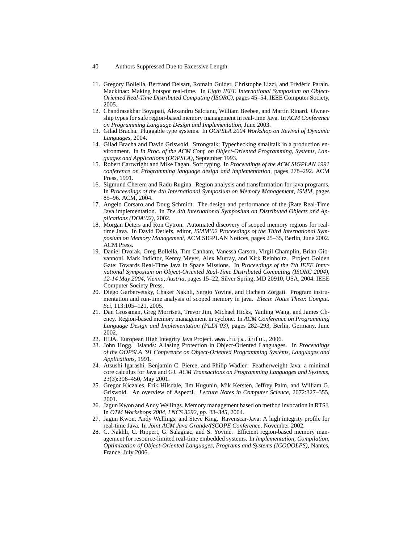- 11. Gregory Bollella, Bertrand Delsart, Romain Guider, Christophe Lizzi, and Frédéric Parain. Mackinac: Making hotspot real-time. In *Eigth IEEE International Symposium on Object-Oriented Real-Time Distributed Computing (ISORC)*, pages 45–54. IEEE Computer Society, 2005.
- 12. Chandrasekhar Boyapati, Alexandru Salcianu, William Beebee, and Martin Rinard. Ownership types for safe region-based memory management in real-time Java. In *ACM Conference on Programming Language Design and Implementation*, June 2003.
- 13. Gilad Bracha. Pluggable type systems. In *OOPSLA 2004 Workshop on Revival of Dynamic Languages*, 2004.
- 14. Gilad Bracha and David Griswold. Strongtalk: Typechecking smalltalk in a production environment. In *In Proc. of the ACM Conf. on Object-Oriented Programming, Systems, Languages and Applications (OOPSLA)*, September 1993.
- 15. Robert Cartwright and Mike Fagan. Soft typing. In *Proceedings of the ACM SIGPLAN 1991 conference on Programming language design and implementation*, pages 278–292. ACM Press, 1991.
- 16. Sigmund Cherem and Radu Rugina. Region analysis and transformation for java programs. In *Proceedings of the 4th International Symposium on Memory Management, ISMM*, pages 85–96. ACM, 2004.
- 17. Angelo Corsaro and Doug Schmidt. The design and performance of the jRate Real-Time Java implementation. In *The 4th International Symposium on Distributed Objects and Applications (DOA'02)*, 2002.
- 18. Morgan Deters and Ron Cytron. Automated discovery of scoped memory regions for realtime Java. In David Detlefs, editor, *ISMM'02 Proceedings of the Third International Symposium on Memory Management*, ACM SIGPLAN Notices, pages 25–35, Berlin, June 2002. ACM Press.
- 19. Daniel Dvorak, Greg Bollella, Tim Canham, Vanessa Carson, Virgil Champlin, Brian Giovannoni, Mark Indictor, Kenny Meyer, Alex Murray, and Kirk Reinholtz. Project Golden Gate: Towards Real-Time Java in Space Missions. In *Proceedings of the 7th IEEE International Symposium on Object-Oriented Real-Time Distributed Computing (ISORC 2004), 12-14 May 2004, Vienna, Austria*, pages 15–22, Silver Spring, MD 20910, USA, 2004. IEEE Computer Society Press.
- 20. Diego Garbervetsky, Chaker Nakhli, Sergio Yovine, and Hichem Zorgati. Program instrumentation and run-time analysis of scoped memory in java. *Electr. Notes Theor. Comput. Sci*, 113:105–121, 2005.
- 21. Dan Grossman, Greg Morrisett, Trevor Jim, Michael Hicks, Yanling Wang, and James Cheney. Region-based memory management in cyclone. In *ACM Conference on Programming Language Design and Implementation (PLDI'03)*, pages 282–293, Berlin, Germany, June 2002.
- 22. HIJA. European High Integrity Java Project. www.hija.info., 2006.
- 23. John Hogg. Islands: Aliasing Protection in Object-Oriented Languages. In *Proceedings of the OOPSLA '91 Conference on Object-Oriented Programming Systems, Languages and Applications*, 1991.
- 24. Atsushi Igarashi, Benjamin C. Pierce, and Philip Wadler. Featherweight Java: a minimal core calculus for Java and GJ. *ACM Transactions on Programming Languages and Systems*, 23(3):396–450, May 2001.
- 25. Gregor Kiczales, Erik Hilsdale, Jim Hugunin, Mik Kersten, Jeffrey Palm, and William G. Griswold. An overview of AspectJ. *Lecture Notes in Computer Science*, 2072:327–355, 2001.
- 26. Jagun Kwon and Andy Wellings. Memory management based on method invocation in RTSJ. In *OTM Workshops 2004, LNCS 3292, pp. 33–345*, 2004.
- 27. Jagun Kwon, Andy Wellings, and Steve King. Ravenscar-Java: A high integrity profile for real-time Java. In *Joint ACM Java Grande/ISCOPE Conference*, November 2002.
- 28. C. Nakhli, C. Rippert, G. Salagnac, and S. Yovine. Efficient region-based memory management for resource-limited real-time embedded systems. In *Implementation, Compilation, Optimization of Object-Oriented Languages, Programs and Systems (ICOOOLPS)*, Nantes, France, July 2006.

<sup>40</sup> Authors Suppressed Due to Excessive Length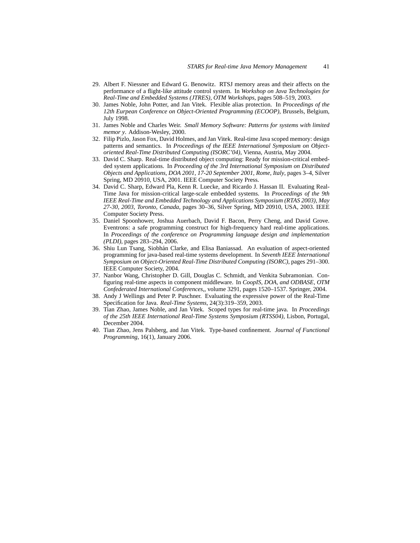- 29. Albert F. Niessner and Edward G. Benowitz. RTSJ memory areas and their affects on the performance of a flight-like attitude control system. In *Workshop on Java Technologies for Real-Time and Embedded Systems (JTRES), OTM Workshops*, pages 508–519, 2003.
- 30. James Noble, John Potter, and Jan Vitek. Flexible alias protection. In *Proceedings of the 12th Eurpean Conference on Object-Oriented Programming (ECOOP)*, Brussels, Belgium, July 1998.
- 31. James Noble and Charles Weir. *Small Memory Software: Patterns for systems with limited memor y*. Addison-Wesley, 2000.
- 32. Filip Pizlo, Jason Fox, David Holmes, and Jan Vitek. Real-time Java scoped memory: design patterns and semantics. In *Proceedings of the IEEE International Symposium on Objectoriented Real-Time Distributed Computing (ISORC'04)*, Vienna, Austria, May 2004.
- 33. David C. Sharp. Real-time distributed object computing: Ready for mission-critical embedded system applications. In *Proceeding of the 3rd International Symposium on Distributed Objects and Applications, DOA 2001, 17-20 September 2001, Rome, Italy*, pages 3–4, Silver Spring, MD 20910, USA, 2001. IEEE Computer Society Press.
- 34. David C. Sharp, Edward Pla, Kenn R. Luecke, and Ricardo J. Hassan II. Evaluating Real-Time Java for mission-critical large-scale embedded systems. In *Proceedings of the 9th IEEE Real-Time and Embedded Technology and Applications Symposium (RTAS 2003), May 27-30, 2003, Toronto, Canada*, pages 30–36, Silver Spring, MD 20910, USA, 2003. IEEE Computer Society Press.
- 35. Daniel Spoonhower, Joshua Auerbach, David F. Bacon, Perry Cheng, and David Grove. Eventrons: a safe programming construct for high-frequency hard real-time applications. In *Proceedings of the conference on Programming language design and implementation (PLDI)*, pages 283–294, 2006.
- 36. Shiu Lun Tsang, Siobhan Clarke, and Elisa Baniassad. An evaluation of aspect-oriented ´ programming for java-based real-time systems development. In *Seventh IEEE International Symposium on Object-Oriented Real-Time Distributed Computing (ISORC)*, pages 291–300. IEEE Computer Society, 2004.
- 37. Nanbor Wang, Christopher D. Gill, Douglas C. Schmidt, and Venkita Subramonian. Configuring real-time aspects in component middleware. In *CoopIS, DOA, and ODBASE, OTM Confederated International Conferences,*, volume 3291, pages 1520–1537. Springer, 2004.
- 38. Andy J Wellings and Peter P. Puschner. Evaluating the expressive power of the Real-Time Specification for Java. *Real-Time Systems*, 24(3):319–359, 2003.
- 39. Tian Zhao, James Noble, and Jan Vitek. Scoped types for real-time java. In *Proceedings of the 25th IEEE International Real-Time Systems Symposium (RTSS04)*, Lisbon, Portugal, December 2004.
- 40. Tian Zhao, Jens Palsberg, and Jan Vitek. Type-based confinement. *Journal of Functional Programming*, 16(1), January 2006.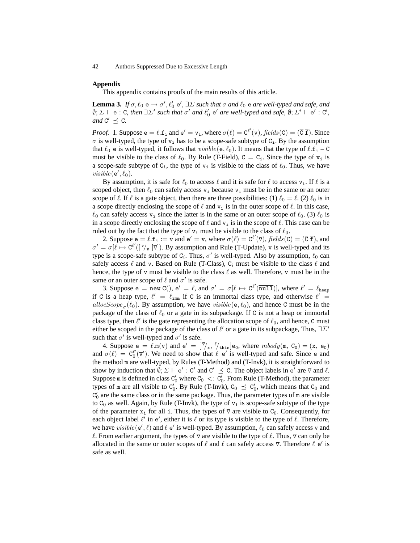### **Appendix**

This appendix contains proofs of the main results of this article.

**Lemma 3.** If  $\sigma, \ell_0$   $\mathbf{e} \to \sigma', \ell'_0$   $\mathbf{e}', \exists \Sigma$  such that  $\sigma$  and  $\ell_0$   $\mathbf{e}$  are well-typed and safe, and  $\emptyset; \Sigma \vdash e : C$ , then  $\exists \Sigma'$  such that  $\sigma'$  and  $\ell'_0$   $e'$  are well-typed and safe,  $\emptyset; \Sigma' \vdash e' : C',$ and  $C' \preceq C$ *.* 

*Proof.* 1. Suppose  $e = \ell \cdot f_i$  and  $e' = v_i$ , where  $\sigma(\ell) = C^{\ell'}(\overline{v})$ , fields(C) =  $(\overline{C} \ \overline{f})$ . Since  $\sigma$  is well-typed, the type of  $v_i$  has to be a scope-safe subtype of  $C_i$ . By the assumption that  $\ell_0$  e is well-typed, it follows that  $visible(e, \ell_0)$ . It means that the type of  $\ell.f_i - C$ must be visible to the class of  $\ell_0$ . By Rule (T-Field),  $C = C_i$ . Since the type of  $v_i$  is a scope-safe subtype of  $C_i$ , the type of  $v_i$  is visible to the class of  $\ell_0$ . Thus, we have  $visible(e', \ell_0)$ .

By assumption, it is safe for  $\ell_0$  to access  $\ell$  and it is safe for  $\ell$  to access  $v_i$ . If  $\ell$  is a scoped object, then  $\ell_0$  can safely access  $v_i$  because  $v_i$  must be in the same or an outer scope of  $\ell$ . If  $\ell$  is a gate object, then there are three possibilities: (1)  $\ell_0 = \ell$ . (2)  $\ell_0$  is in a scope directly enclosing the scope of  $\ell$  and  $v_i$  is in the outer scope of  $\ell$ . In this case,  $\ell_0$  can safely access  $v_i$  since the latter is in the same or an outer scope of  $\ell_0$ . (3)  $\ell_0$  is in a scope directly enclosing the scope of  $\ell$  and  $v_i$  is in the scope of  $\ell$ . This case can be ruled out by the fact that the type of  $v_i$  must be visible to the class of  $\ell_0$ .

2. Suppose  $e = \ell.f_i := v$  and  $e' = v$ , where  $\sigma(\ell) = C^{\ell'}(\overline{v})$ ,  $fields(C) = (\overline{C}\,\overline{f})$ , and  $\sigma' = \sigma[\ell \mapsto C^{\ell'}([\nu]_{\nu_1}|\overline{\nu}])$ . By assumption and Rule (T-Update), v is well-typed and its type is a scope-safe subtype of  $C_i$ . Thus,  $\sigma'$  is well-typed. Also by assumption,  $\ell_0$  can safely access  $\ell$  and v. Based on Rule (T-Class),  $C_i$  must be visible to the class  $\ell$  and hence, the type of v must be visible to the class  $\ell$  as well. Therefore, v must be in the same or an outer scope of  $\ell$  and  $\sigma'$  is safe.

3. Suppose  $e = new C(), e' = \ell$ , and  $\sigma' = \sigma[\ell \mapsto C^{\ell'}(null)],$  where  $\ell' = \ell_{heap}$ if C is a heap type,  $\ell' = \ell_{\text{imm}}$  if C is an immortal class type, and otherwise  $\ell' =$ allocScope<sub> $\sigma$ </sub>( $\ell_0$ ). By assumption, we have visible( $e, \ell_0$ ), and hence C must be in the package of the class of  $\ell_0$  or a gate in its subpackage. If C is not a heap or immortal class type, then  $\ell'$  is the gate representing the allocation scope of  $\ell_0$ , and hence, C must either be scoped in the package of the class of  $\ell'$  or a gate in its subpackage, Thus,  $\exists \Sigma'$ such that  $\sigma'$  is well-typed and  $\sigma'$  is safe.

4. Suppose  $\mathsf{e} = \ell \cdot \mathsf{m}(\overline{\mathsf{v}})$  and  $\mathsf{e}' = [\overline{\mathsf{v}}_{\overline{\mathsf{x}}}, \ell_{\text{this}}] \mathsf{e}_0$ , where  $mbody(\mathsf{m}, \mathsf{C}_0) = (\overline{\mathsf{x}}, \mathsf{e}_0)$ and  $\sigma(\ell) = C_0^{\ell'}(\overline{v}')$ . We need to show that  $\ell \neq i$  is well-typed and safe. Since e and the method m are well-typed, by Rules (T-Method) and (T-Invk), it is straightforward to show by induction that  $\emptyset$ ;  $\Sigma \vdash e' : C'$  and  $C' \preceq C$ . The object labels in  $e'$  are  $\overline{v}$  and  $\ell$ . Suppose m is defined in class  $C'_0$  where  $C_0 < : C'_0$ . From Rule (T-Method), the parameter types of m are all visible to  $C'_0$ . By Rule (T-Invk),  $C_0 \preceq C'_0$ , which means that  $C_0$  and  $C'_0$  are the same class or in the same package. Thus, the parameter types of m are visible to  $C_0$  as well. Again, by Rule (T-Invk), the type of  $v_i$  is scope-safe subtype of the type of the parameter  $x_i$  for all i. Thus, the types of  $\overline{v}$  are visible to  $C_0$ . Consequently, for each object label  $\ell'$  in e', either it is  $\ell$  or its type is visible to the type of  $\ell$ . Therefore, we have  $visible(e', \ell)$  and  $\ell e'$  is well-typed. By assumption,  $\ell_0$  can safely access  $\bar{v}$  and  $\ell$ . From earlier argument, the types of  $\overline{v}$  are visible to the type of  $\ell$ . Thus,  $\overline{v}$  can only be allocated in the same or outer scopes of  $\ell$  and  $\ell$  can safely access  $\overline{v}$ . Therefore  $\ell$  e' is safe as well.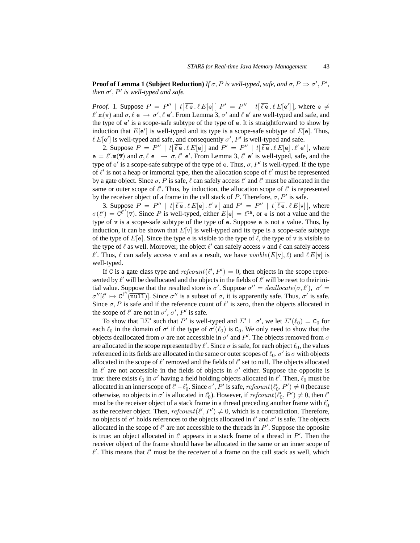**Proof of Lemma 1 (Subject Reduction)** *If*  $\sigma$ , *P* is well-typed, safe, and  $\sigma$ ,  $P \Rightarrow \sigma'$ ,  $P'$ , *then*  $\sigma'$ ,  $P'$  *is well-typed and safe.* 

*Proof.* 1. Suppose  $P = P'' \mid t[\overline{\ell e} \cdot \ell E[e]] P' = P'' \mid t[\overline{\ell e} \cdot \ell E[e']]$ , where e  $\neq$  $\ell'$ .m( $\overline{v}$ ) and  $\sigma$ ,  $\ell$  e  $\rightarrow \sigma'$ ,  $\ell$  e'. From Lemma 3,  $\sigma'$  and  $\ell$  e' are well-typed and safe, and the type of e' is a scope-safe subtype of the type of e. It is straightforward to show by induction that  $E[e']$  is well-typed and its type is a scope-safe subtype of  $E[e]$ . Thus,  $\ell E[e']$  is well-typed and safe, and consequently  $\sigma'$ ,  $P'$  is well-typed and safe.

2. Suppose  $P = P'' \mid t[\overline{\ell e} \cdot \ell E[e]]$  and  $P' = P'' \mid t[\overline{\ell e} \cdot \ell E[e] \cdot \ell' e'],$  where  $e = \ell' \cdot m(\overline{v})$  and  $\sigma, \ell \in \rightarrow \sigma, \ell' \neq'$ . From Lemma 3,  $\ell' \neq'$  is well-typed, safe, and the type of  $e'$  is a scope-safe subtype of the type of e. Thus,  $\sigma$ ,  $P'$  is well-typed. If the type of  $\ell'$  is not a heap or immortal type, then the allocation scope of  $\ell'$  must be represented by a gate object. Since  $\sigma$ , P is safe,  $\ell$  can safely access  $\ell'$  and  $\ell'$  must be allocated in the same or outer scope of  $\ell'$ . Thus, by induction, the allocation scope of  $\ell'$  is represented by the receiver object of a frame in the call stack of  $P$ . Therefore,  $\sigma$ ,  $P'$  is safe.

3. Suppose  $P = P'' \mid t[\overline{\ell e} \cdot \ell E[e] \cdot \ell' v]$  and  $P' = P'' \mid t[\overline{\ell e} \cdot \ell E[v]]$ , where  $\sigma(\ell') = \mathbf{C}^{\ell''}(\overline{\mathbf{v}})$ . Since P is well-typed, either  $E[\mathbf{e}] = \ell^{\text{th}}$ , or e is not a value and the type of v is a scope-safe subtype of the type of e. Suppose e is not a value. Thus, by induction, it can be shown that  $E[v]$  is well-typed and its type is a scope-safe subtype of the type of  $E[\mathbf{e}]$ . Since the type  $\mathbf{e}$  is visible to the type of  $\ell$ , the type of v is visible to the type of  $\ell$  as well. Moreover, the object  $\ell'$  can safely access v and  $\ell$  can safely access  $\ell'$ . Thus,  $\ell$  can safely access v and as a result, we have  $visible(E[v], \ell)$  and  $\ell E[v]$  is well-typed.

If C is a gate class type and  $refcount(\ell', P') = 0$ , then objects in the scope represented by  $\ell'$  will be deallocated and the objects in the fields of  $\ell'$  will be reset to their initial value. Suppose that the resulted store is  $\sigma'$ . Suppose  $\sigma'' = \text{deallocate}(\sigma, \ell')$ ,  $\sigma' =$  $\sigma''[\ell' \mapsto C^{\ell''}(\overline{null})]$ . Since  $\sigma''$  is a subset of  $\sigma$ , it is apparently safe. Thus,  $\sigma'$  is safe. Since  $\sigma$ , P is safe and if the reference count of  $\ell'$  is zero, then the objects allocated in the scope of  $\ell'$  are not in  $\sigma', \sigma', P'$  is safe.

To show that  $\exists \Sigma'$  such that P' is well-typed and  $\Sigma' \vdash \sigma'$ , we let  $\Sigma'(\ell_0) = C_0$  for each  $\ell_0$  in the domain of  $\sigma'$  if the type of  $\sigma'(\ell_0)$  is C<sub>0</sub>. We only need to show that the objects deallocated from  $\sigma$  are not accessible in  $\sigma'$  and  $P'$ . The objects removed from  $\sigma$ are allocated in the scope represented by  $\ell'$ . Since  $\sigma$  is safe, for each object  $\ell_0$ , the values referenced in its fields are allocated in the same or outer scopes of  $\ell_0$ .  $\sigma'$  is  $\sigma$  with objects allocated in the scope of  $\ell'$  removed and the fields of  $\ell'$  set to null. The objects allocated in  $\ell'$  are not accessible in the fields of objects in  $\sigma'$  either. Suppose the opposite is true: there exists  $\ell_0$  in  $\sigma'$  having a field holding objects allocated in  $\ell'$ . Then,  $\ell_0$  must be allocated in an inner scope of  $\ell' - \ell'_0$ . Since  $\sigma'$ ,  $P'$  is safe,  $refcount(\ell'_0, P') \neq 0$  (because otherwise, no objects in  $\sigma'$  is allocated in  $\ell'_0$ ). However, if  $refcount(\ell'_0, P') \neq 0$ , then  $\ell'$ must be the receiver object of a stack frame in a thread preceding another frame with  $\ell_0'$ as the receiver object. Then,  $refound(\ell', P') \neq 0$ , which is a contradiction. Therefore, no objects of  $\sigma'$  holds references to the objects allocated in  $\ell'$  and  $\sigma'$  is safe. The objects allocated in the scope of  $\ell'$  are not accessible to the threads in  $P'$ . Suppose the opposite is true: an object allocated in  $\ell'$  appears in a stack frame of a thread in  $P'$ . Then the receiver object of the frame should have be allocated in the same or an inner scope of  $\ell'$ . This means that  $\ell'$  must be the receiver of a frame on the call stack as well, which